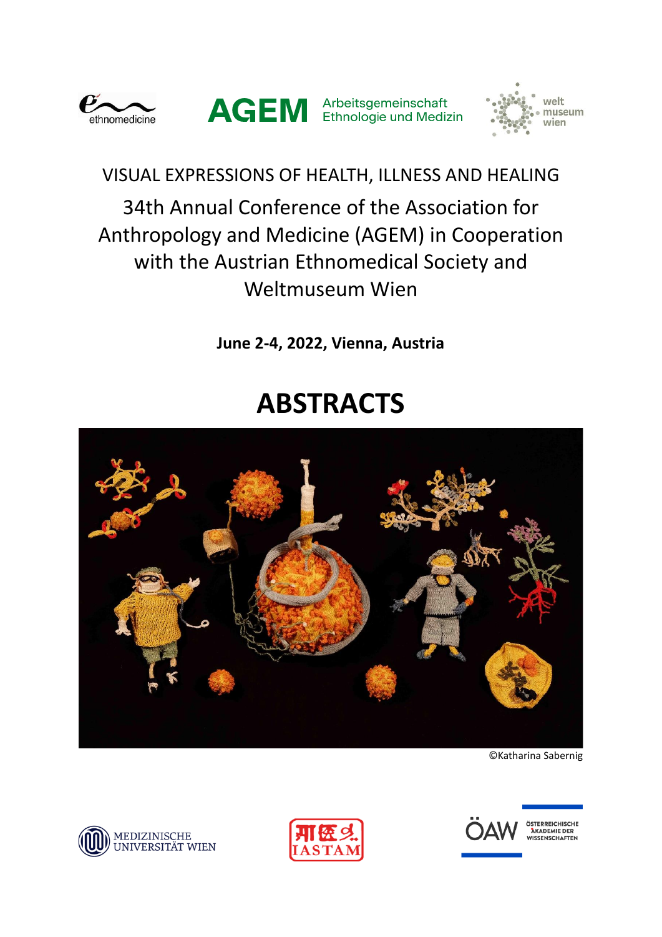





VISUAL EXPRESSIONS OF HEALTH, ILLNESS AND HEALING 34th Annual Conference of the Association for Anthropology and Medicine (AGEM) in Cooperation with the Austrian Ethnomedical Society and Weltmuseum Wien

**June 2-4, 2022, Vienna, Austria**

# **ABSTRACTS**



©Katharina Sabernig







ÖSTERREICHISCHE<br>AKADEMIE DER<br>WISSENSCHAFTEN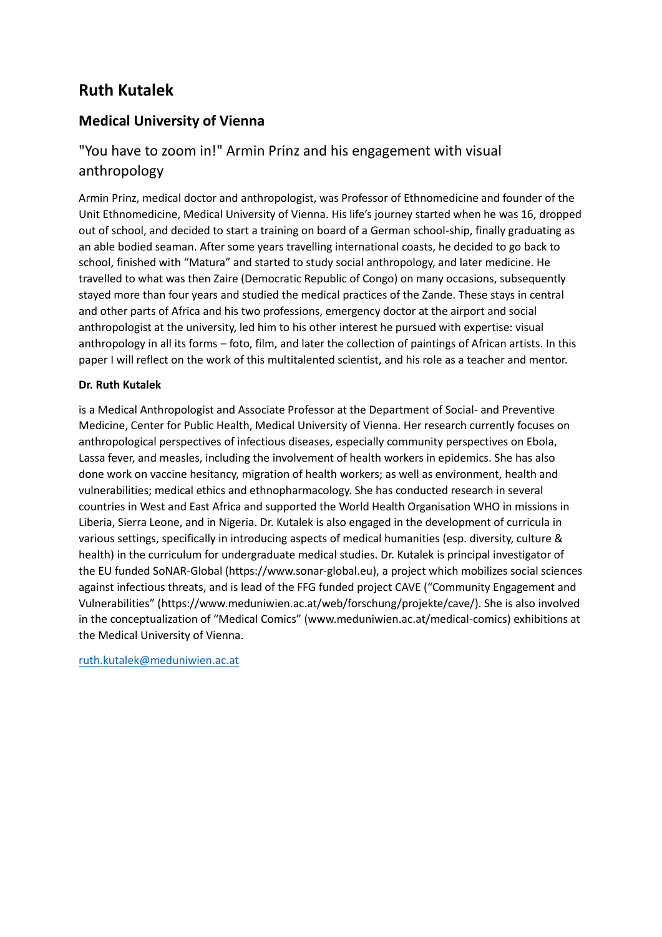## **Ruth Kutalek**

### **Medical University of Vienna**

## "You have to zoom in!" Armin Prinz and his engagement with visual anthropology

Armin Prinz, medical doctor and anthropologist, was Professor of Ethnomedicine and founder of the Unit Ethnomedicine, Medical University of Vienna. His life's journey started when he was 16, dropped out of school, and decided to start a training on board of a German school-ship, finally graduating as an able bodied seaman. After some years travelling international coasts, he decided to go back to school, finished with "Matura" and started to study social anthropology, and later medicine. He travelled to what was then Zaire (Democratic Republic of Congo) on many occasions, subsequently stayed more than four years and studied the medical practices of the Zande. These stays in central and other parts of Africa and his two professions, emergency doctor at the airport and social anthropologist at the university, led him to his other interest he pursued with expertise: visual anthropology in all its forms – foto, film, and later the collection of paintings of African artists. In this paper I will reflect on the work of this multitalented scientist, and his role as a teacher and mentor.

#### **Dr. Ruth Kutalek**

is a Medical Anthropologist and Associate Professor at the Department of Social- and Preventive Medicine, Center for Public Health, Medical University of Vienna. Her research currently focuses on anthropological perspectives of infectious diseases, especially community perspectives on Ebola, Lassa fever, and measles, including the involvement of health workers in epidemics. She has also done work on vaccine hesitancy, migration of health workers; as well as environment, health and vulnerabilities; medical ethics and ethnopharmacology. She has conducted research in several countries in West and East Africa and supported the World Health Organisation WHO in missions in Liberia, Sierra Leone, and in Nigeria. Dr. Kutalek is also engaged in the development of curricula in various settings, specifically in introducing aspects of medical humanities (esp. diversity, culture & health) in the curriculum for undergraduate medical studies. Dr. Kutalek is principal investigator of the EU funded SoNAR-Global (https://www.sonar-global.eu), a project which mobilizes social sciences against infectious threats, and is lead of the FFG funded project CAVE ("Community Engagement and Vulnerabilities" (https://www.meduniwien.ac.at/web/forschung/projekte/cave/). She is also involved in the conceptualization of "Medical Comics" (www.meduniwien.ac.at/medical-comics) exhibitions at the Medical University of Vienna.

[ruth.kutalek@meduniwien.ac.at](mailto:ruth.kutalek@meduniwien.ac.at)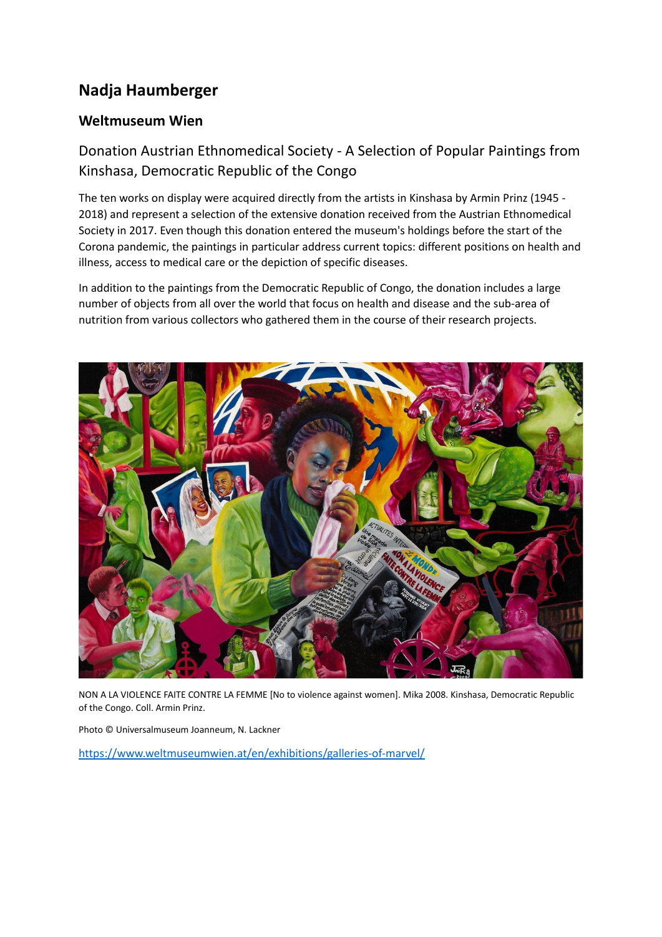## **Nadja Haumberger**

### **Weltmuseum Wien**

## Donation Austrian Ethnomedical Society - A Selection of Popular Paintings from Kinshasa, Democratic Republic of the Congo

The ten works on display were acquired directly from the artists in Kinshasa by Armin Prinz (1945 - 2018) and represent a selection of the extensive donation received from the Austrian Ethnomedical Society in 2017. Even though this donation entered the museum's holdings before the start of the Corona pandemic, the paintings in particular address current topics: different positions on health and illness, access to medical care or the depiction of specific diseases.

In addition to the paintings from the Democratic Republic of Congo, the donation includes a large number of objects from all over the world that focus on health and disease and the sub-area of nutrition from various collectors who gathered them in the course of their research projects.



NON A LA VIOLENCE FAITE CONTRE LA FEMME [No to violence against women]. Mika 2008. Kinshasa, Democratic Republic of the Congo. Coll. Armin Prinz.

Photo © Universalmuseum Joanneum, N. Lackner

<https://www.weltmuseumwien.at/en/exhibitions/galleries-of-marvel/>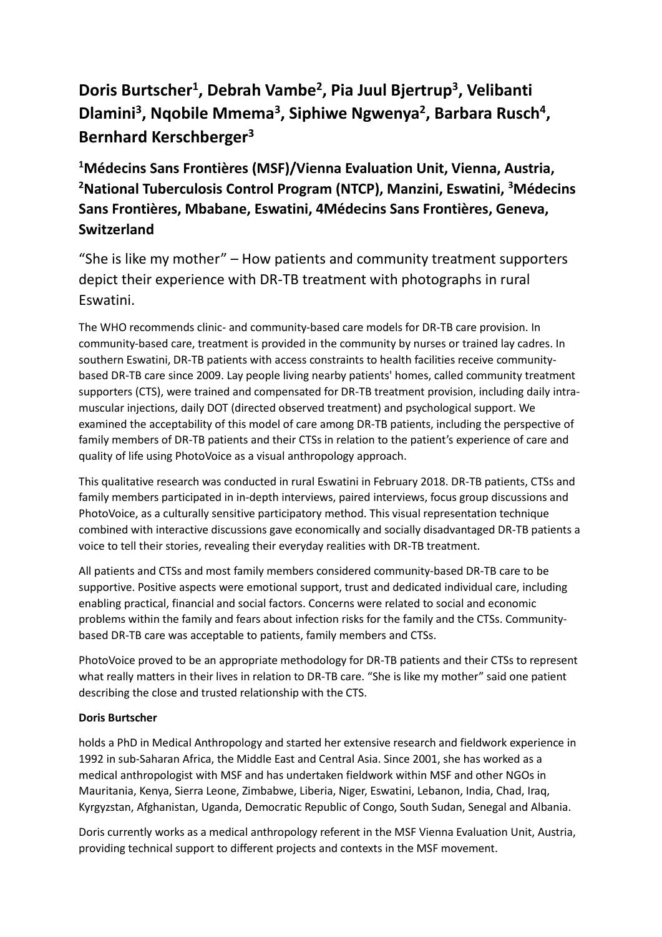## **Doris Burtscher<sup>1</sup> , Debrah Vambe<sup>2</sup> , Pia Juul Bjertrup<sup>3</sup> , Velibanti Dlamini<sup>3</sup> , Nqobile Mmema<sup>3</sup> , Siphiwe Ngwenya<sup>2</sup> , Barbara Rusch<sup>4</sup> , Bernhard Kerschberger<sup>3</sup>**

**<sup>1</sup>Médecins Sans Frontières (MSF)/Vienna Evaluation Unit, Vienna, Austria, <sup>2</sup>National Tuberculosis Control Program (NTCP), Manzini, Eswatini, <sup>3</sup>Médecins Sans Frontières, Mbabane, Eswatini, 4Médecins Sans Frontières, Geneva, Switzerland**

"She is like my mother" – How patients and community treatment supporters depict their experience with DR-TB treatment with photographs in rural Eswatini.

The WHO recommends clinic- and community-based care models for DR-TB care provision. In community-based care, treatment is provided in the community by nurses or trained lay cadres. In southern Eswatini, DR-TB patients with access constraints to health facilities receive communitybased DR-TB care since 2009. Lay people living nearby patients' homes, called community treatment supporters (CTS), were trained and compensated for DR-TB treatment provision, including daily intramuscular injections, daily DOT (directed observed treatment) and psychological support. We examined the acceptability of this model of care among DR-TB patients, including the perspective of family members of DR-TB patients and their CTSs in relation to the patient's experience of care and quality of life using PhotoVoice as a visual anthropology approach.

This qualitative research was conducted in rural Eswatini in February 2018. DR-TB patients, CTSs and family members participated in in-depth interviews, paired interviews, focus group discussions and PhotoVoice, as a culturally sensitive participatory method. This visual representation technique combined with interactive discussions gave economically and socially disadvantaged DR-TB patients a voice to tell their stories, revealing their everyday realities with DR-TB treatment.

All patients and CTSs and most family members considered community-based DR-TB care to be supportive. Positive aspects were emotional support, trust and dedicated individual care, including enabling practical, financial and social factors. Concerns were related to social and economic problems within the family and fears about infection risks for the family and the CTSs. Communitybased DR-TB care was acceptable to patients, family members and CTSs.

PhotoVoice proved to be an appropriate methodology for DR-TB patients and their CTSs to represent what really matters in their lives in relation to DR-TB care. "She is like my mother" said one patient describing the close and trusted relationship with the CTS.

#### **Doris Burtscher**

holds a PhD in Medical Anthropology and started her extensive research and fieldwork experience in 1992 in sub-Saharan Africa, the Middle East and Central Asia. Since 2001, she has worked as a medical anthropologist with MSF and has undertaken fieldwork within MSF and other NGOs in Mauritania, Kenya, Sierra Leone, Zimbabwe, Liberia, Niger, Eswatini, Lebanon, India, Chad, Iraq, Kyrgyzstan, Afghanistan, Uganda, Democratic Republic of Congo, South Sudan, Senegal and Albania.

Doris currently works as a medical anthropology referent in the MSF Vienna Evaluation Unit, Austria, providing technical support to different projects and contexts in the MSF movement.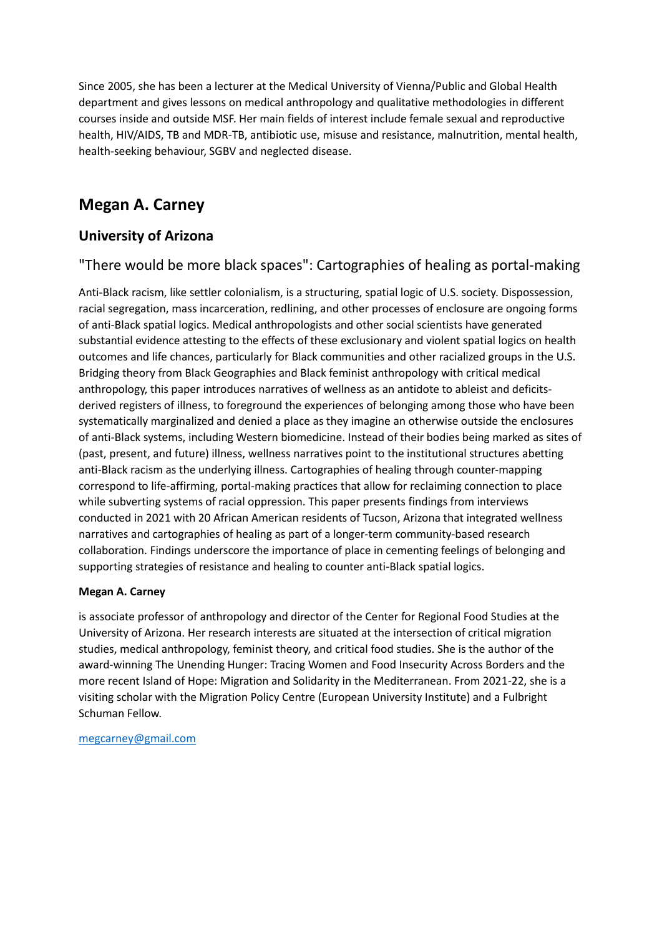Since 2005, she has been a lecturer at the Medical University of Vienna/Public and Global Health department and gives lessons on medical anthropology and qualitative methodologies in different courses inside and outside MSF. Her main fields of interest include female sexual and reproductive health, HIV/AIDS, TB and MDR-TB, antibiotic use, misuse and resistance, malnutrition, mental health, health-seeking behaviour, SGBV and neglected disease.

## **Megan A. Carney**

### **University of Arizona**

### "There would be more black spaces": Cartographies of healing as portal-making

Anti-Black racism, like settler colonialism, is a structuring, spatial logic of U.S. society. Dispossession, racial segregation, mass incarceration, redlining, and other processes of enclosure are ongoing forms of anti-Black spatial logics. Medical anthropologists and other social scientists have generated substantial evidence attesting to the effects of these exclusionary and violent spatial logics on health outcomes and life chances, particularly for Black communities and other racialized groups in the U.S. Bridging theory from Black Geographies and Black feminist anthropology with critical medical anthropology, this paper introduces narratives of wellness as an antidote to ableist and deficitsderived registers of illness, to foreground the experiences of belonging among those who have been systematically marginalized and denied a place as they imagine an otherwise outside the enclosures of anti-Black systems, including Western biomedicine. Instead of their bodies being marked as sites of (past, present, and future) illness, wellness narratives point to the institutional structures abetting anti-Black racism as the underlying illness. Cartographies of healing through counter-mapping correspond to life-affirming, portal-making practices that allow for reclaiming connection to place while subverting systems of racial oppression. This paper presents findings from interviews conducted in 2021 with 20 African American residents of Tucson, Arizona that integrated wellness narratives and cartographies of healing as part of a longer-term community-based research collaboration. Findings underscore the importance of place in cementing feelings of belonging and supporting strategies of resistance and healing to counter anti-Black spatial logics.

#### **Megan A. Carney**

is associate professor of anthropology and director of the Center for Regional Food Studies at the University of Arizona. Her research interests are situated at the intersection of critical migration studies, medical anthropology, feminist theory, and critical food studies. She is the author of the award-winning The Unending Hunger: Tracing Women and Food Insecurity Across Borders and the more recent Island of Hope: Migration and Solidarity in the Mediterranean. From 2021-22, she is a visiting scholar with the Migration Policy Centre (European University Institute) and a Fulbright Schuman Fellow.

#### [megcarney@gmail.com](mailto:megcarney@gmail.com)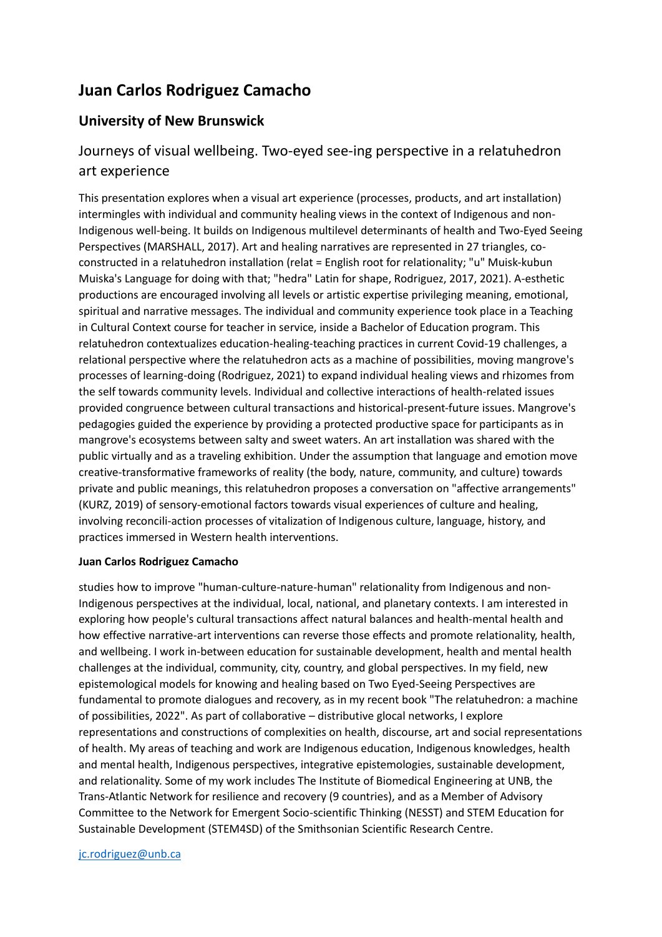## **Juan Carlos Rodriguez Camacho**

### **University of New Brunswick**

## Journeys of visual wellbeing. Two-eyed see-ing perspective in a relatuhedron art experience

This presentation explores when a visual art experience (processes, products, and art installation) intermingles with individual and community healing views in the context of Indigenous and non-Indigenous well-being. It builds on Indigenous multilevel determinants of health and Two-Eyed Seeing Perspectives (MARSHALL, 2017). Art and healing narratives are represented in 27 triangles, coconstructed in a relatuhedron installation (relat = English root for relationality; "u" Muisk-kubun Muiska's Language for doing with that; "hedra" Latin for shape, Rodriguez, 2017, 2021). A-esthetic productions are encouraged involving all levels or artistic expertise privileging meaning, emotional, spiritual and narrative messages. The individual and community experience took place in a Teaching in Cultural Context course for teacher in service, inside a Bachelor of Education program. This relatuhedron contextualizes education-healing-teaching practices in current Covid-19 challenges, a relational perspective where the relatuhedron acts as a machine of possibilities, moving mangrove's processes of learning-doing (Rodriguez, 2021) to expand individual healing views and rhizomes from the self towards community levels. Individual and collective interactions of health-related issues provided congruence between cultural transactions and historical-present-future issues. Mangrove's pedagogies guided the experience by providing a protected productive space for participants as in mangrove's ecosystems between salty and sweet waters. An art installation was shared with the public virtually and as a traveling exhibition. Under the assumption that language and emotion move creative-transformative frameworks of reality (the body, nature, community, and culture) towards private and public meanings, this relatuhedron proposes a conversation on "affective arrangements" (KURZ, 2019) of sensory-emotional factors towards visual experiences of culture and healing, involving reconcili-action processes of vitalization of Indigenous culture, language, history, and practices immersed in Western health interventions.

#### **Juan Carlos Rodriguez Camacho**

studies how to improve "human-culture-nature-human" relationality from Indigenous and non-Indigenous perspectives at the individual, local, national, and planetary contexts. I am interested in exploring how people's cultural transactions affect natural balances and health-mental health and how effective narrative-art interventions can reverse those effects and promote relationality, health, and wellbeing. I work in-between education for sustainable development, health and mental health challenges at the individual, community, city, country, and global perspectives. In my field, new epistemological models for knowing and healing based on Two Eyed-Seeing Perspectives are fundamental to promote dialogues and recovery, as in my recent book "The relatuhedron: a machine of possibilities, 2022". As part of collaborative – distributive glocal networks, I explore representations and constructions of complexities on health, discourse, art and social representations of health. My areas of teaching and work are Indigenous education, Indigenous knowledges, health and mental health, Indigenous perspectives, integrative epistemologies, sustainable development, and relationality. Some of my work includes The Institute of Biomedical Engineering at UNB, the Trans-Atlantic Network for resilience and recovery (9 countries), and as a Member of Advisory Committee to the Network for Emergent Socio-scientific Thinking (NESST) and STEM Education for Sustainable Development (STEM4SD) of the Smithsonian Scientific Research Centre.

#### [jc.rodriguez@unb.ca](mailto:jc.rodriguez@unb.ca)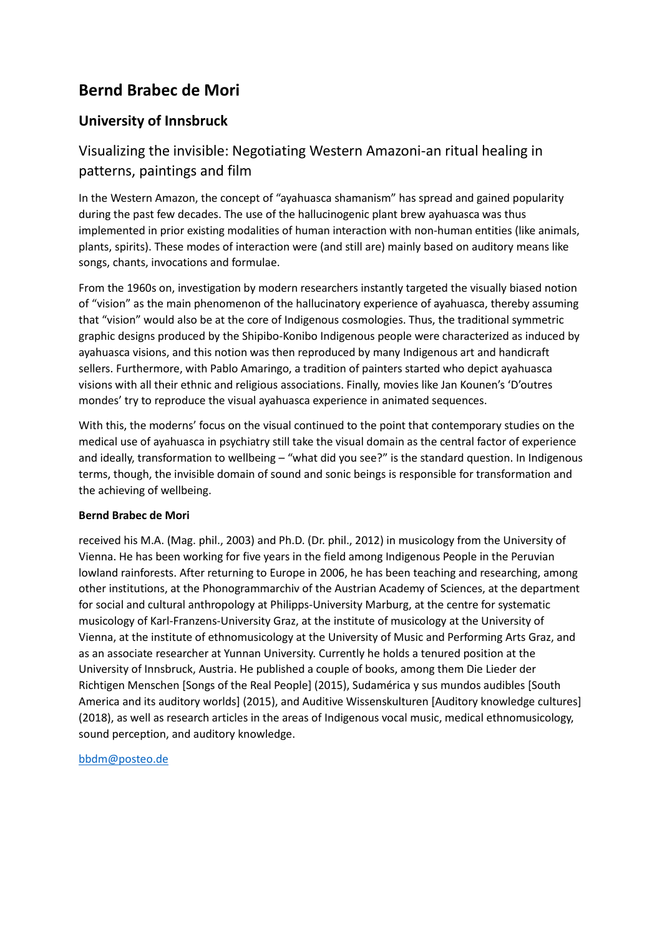## **Bernd Brabec de Mori**

### **University of Innsbruck**

## Visualizing the invisible: Negotiating Western Amazoni-an ritual healing in patterns, paintings and film

In the Western Amazon, the concept of "ayahuasca shamanism" has spread and gained popularity during the past few decades. The use of the hallucinogenic plant brew ayahuasca was thus implemented in prior existing modalities of human interaction with non-human entities (like animals, plants, spirits). These modes of interaction were (and still are) mainly based on auditory means like songs, chants, invocations and formulae.

From the 1960s on, investigation by modern researchers instantly targeted the visually biased notion of "vision" as the main phenomenon of the hallucinatory experience of ayahuasca, thereby assuming that "vision" would also be at the core of Indigenous cosmologies. Thus, the traditional symmetric graphic designs produced by the Shipibo-Konibo Indigenous people were characterized as induced by ayahuasca visions, and this notion was then reproduced by many Indigenous art and handicraft sellers. Furthermore, with Pablo Amaringo, a tradition of painters started who depict ayahuasca visions with all their ethnic and religious associations. Finally, movies like Jan Kounen's 'D'outres mondes' try to reproduce the visual ayahuasca experience in animated sequences.

With this, the moderns' focus on the visual continued to the point that contemporary studies on the medical use of ayahuasca in psychiatry still take the visual domain as the central factor of experience and ideally, transformation to wellbeing – "what did you see?" is the standard question. In Indigenous terms, though, the invisible domain of sound and sonic beings is responsible for transformation and the achieving of wellbeing.

#### **Bernd Brabec de Mori**

received his M.A. (Mag. phil., 2003) and Ph.D. (Dr. phil., 2012) in musicology from the University of Vienna. He has been working for five years in the field among Indigenous People in the Peruvian lowland rainforests. After returning to Europe in 2006, he has been teaching and researching, among other institutions, at the Phonogrammarchiv of the Austrian Academy of Sciences, at the department for social and cultural anthropology at Philipps-University Marburg, at the centre for systematic musicology of Karl-Franzens-University Graz, at the institute of musicology at the University of Vienna, at the institute of ethnomusicology at the University of Music and Performing Arts Graz, and as an associate researcher at Yunnan University. Currently he holds a tenured position at the University of Innsbruck, Austria. He published a couple of books, among them Die Lieder der Richtigen Menschen [Songs of the Real People] (2015), Sudamérica y sus mundos audibles [South America and its auditory worlds] (2015), and Auditive Wissenskulturen [Auditory knowledge cultures] (2018), as well as research articles in the areas of Indigenous vocal music, medical ethnomusicology, sound perception, and auditory knowledge.

[bbdm@posteo.de](mailto:bbdm@posteo.de)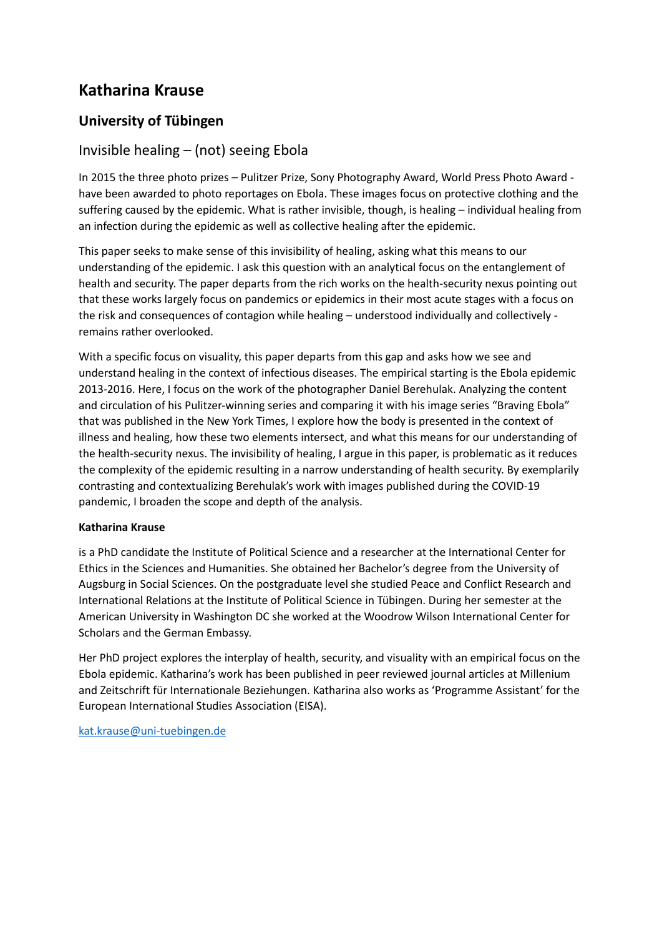## **Katharina Krause**

### **University of Tübingen**

### Invisible healing – (not) seeing Ebola

In 2015 the three photo prizes – Pulitzer Prize, Sony Photography Award, World Press Photo Award have been awarded to photo reportages on Ebola. These images focus on protective clothing and the suffering caused by the epidemic. What is rather invisible, though, is healing – individual healing from an infection during the epidemic as well as collective healing after the epidemic.

This paper seeks to make sense of this invisibility of healing, asking what this means to our understanding of the epidemic. I ask this question with an analytical focus on the entanglement of health and security. The paper departs from the rich works on the health-security nexus pointing out that these works largely focus on pandemics or epidemics in their most acute stages with a focus on the risk and consequences of contagion while healing – understood individually and collectively remains rather overlooked.

With a specific focus on visuality, this paper departs from this gap and asks how we see and understand healing in the context of infectious diseases. The empirical starting is the Ebola epidemic 2013-2016. Here, I focus on the work of the photographer Daniel Berehulak. Analyzing the content and circulation of his Pulitzer-winning series and comparing it with his image series "Braving Ebola" that was published in the New York Times, I explore how the body is presented in the context of illness and healing, how these two elements intersect, and what this means for our understanding of the health-security nexus. The invisibility of healing, I argue in this paper, is problematic as it reduces the complexity of the epidemic resulting in a narrow understanding of health security. By exemplarily contrasting and contextualizing Berehulak's work with images published during the COVID-19 pandemic, I broaden the scope and depth of the analysis.

#### **Katharina Krause**

is a PhD candidate the Institute of Political Science and a researcher at the International Center for Ethics in the Sciences and Humanities. She obtained her Bachelor's degree from the University of Augsburg in Social Sciences. On the postgraduate level she studied Peace and Conflict Research and International Relations at the Institute of Political Science in Tübingen. During her semester at the American University in Washington DC she worked at the Woodrow Wilson International Center for Scholars and the German Embassy.

Her PhD project explores the interplay of health, security, and visuality with an empirical focus on the Ebola epidemic. Katharina's work has been published in peer reviewed journal articles at Millenium and Zeitschrift für Internationale Beziehungen. Katharina also works as 'Programme Assistant' for the European International Studies Association (EISA).

[kat.krause@uni-tuebingen.de](mailto:kat.krause@uni-tuebingen.de)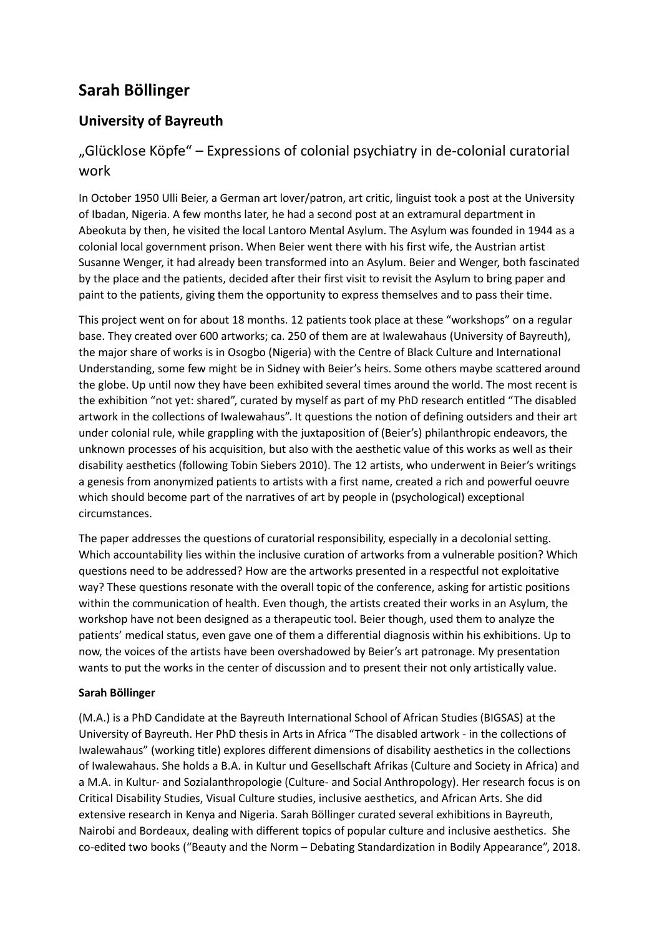## **Sarah Böllinger**

## **University of Bayreuth**

## "Glücklose Köpfe" – Expressions of colonial psychiatry in de-colonial curatorial work

In October 1950 Ulli Beier, a German art lover/patron, art critic, linguist took a post at the University of Ibadan, Nigeria. A few months later, he had a second post at an extramural department in Abeokuta by then, he visited the local Lantoro Mental Asylum. The Asylum was founded in 1944 as a colonial local government prison. When Beier went there with his first wife, the Austrian artist Susanne Wenger, it had already been transformed into an Asylum. Beier and Wenger, both fascinated by the place and the patients, decided after their first visit to revisit the Asylum to bring paper and paint to the patients, giving them the opportunity to express themselves and to pass their time.

This project went on for about 18 months. 12 patients took place at these "workshops" on a regular base. They created over 600 artworks; ca. 250 of them are at Iwalewahaus (University of Bayreuth), the major share of works is in Osogbo (Nigeria) with the Centre of Black Culture and International Understanding, some few might be in Sidney with Beier's heirs. Some others maybe scattered around the globe. Up until now they have been exhibited several times around the world. The most recent is the exhibition "not yet: shared", curated by myself as part of my PhD research entitled "The disabled artwork in the collections of Iwalewahaus". It questions the notion of defining outsiders and their art under colonial rule, while grappling with the juxtaposition of (Beier's) philanthropic endeavors, the unknown processes of his acquisition, but also with the aesthetic value of this works as well as their disability aesthetics (following Tobin Siebers 2010). The 12 artists, who underwent in Beier's writings a genesis from anonymized patients to artists with a first name, created a rich and powerful oeuvre which should become part of the narratives of art by people in (psychological) exceptional circumstances.

The paper addresses the questions of curatorial responsibility, especially in a decolonial setting. Which accountability lies within the inclusive curation of artworks from a vulnerable position? Which questions need to be addressed? How are the artworks presented in a respectful not exploitative way? These questions resonate with the overall topic of the conference, asking for artistic positions within the communication of health. Even though, the artists created their works in an Asylum, the workshop have not been designed as a therapeutic tool. Beier though, used them to analyze the patients' medical status, even gave one of them a differential diagnosis within his exhibitions. Up to now, the voices of the artists have been overshadowed by Beier's art patronage. My presentation wants to put the works in the center of discussion and to present their not only artistically value.

#### **Sarah Böllinger**

(M.A.) is a PhD Candidate at the Bayreuth International School of African Studies (BIGSAS) at the University of Bayreuth. Her PhD thesis in Arts in Africa "The disabled artwork - in the collections of Iwalewahaus" (working title) explores different dimensions of disability aesthetics in the collections of Iwalewahaus. She holds a B.A. in Kultur und Gesellschaft Afrikas (Culture and Society in Africa) and a M.A. in Kultur- and Sozialanthropologie (Culture- and Social Anthropology). Her research focus is on Critical Disability Studies, Visual Culture studies, inclusive aesthetics, and African Arts. She did extensive research in Kenya and Nigeria. Sarah Böllinger curated several exhibitions in Bayreuth, Nairobi and Bordeaux, dealing with different topics of popular culture and inclusive aesthetics. She co-edited two books ("Beauty and the Norm – Debating Standardization in Bodily Appearance", 2018.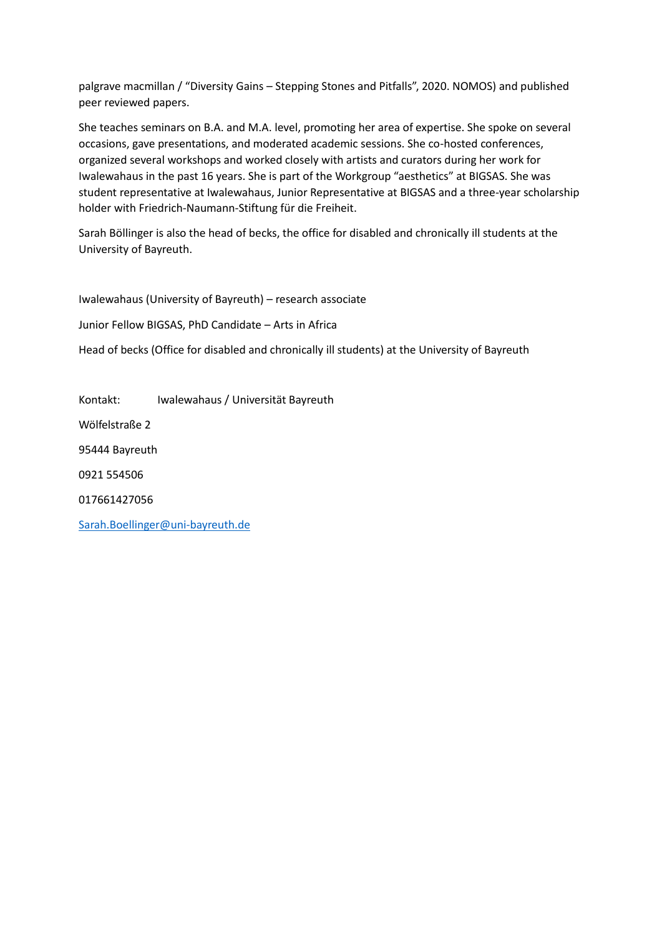palgrave macmillan / "Diversity Gains – Stepping Stones and Pitfalls", 2020. NOMOS) and published peer reviewed papers.

She teaches seminars on B.A. and M.A. level, promoting her area of expertise. She spoke on several occasions, gave presentations, and moderated academic sessions. She co-hosted conferences, organized several workshops and worked closely with artists and curators during her work for Iwalewahaus in the past 16 years. She is part of the Workgroup "aesthetics" at BIGSAS. She was student representative at Iwalewahaus, Junior Representative at BIGSAS and a three-year scholarship holder with Friedrich-Naumann-Stiftung für die Freiheit.

Sarah Böllinger is also the head of becks, the office for disabled and chronically ill students at the University of Bayreuth.

Iwalewahaus (University of Bayreuth) – research associate Junior Fellow BIGSAS, PhD Candidate – Arts in Africa Head of becks (Office for disabled and chronically ill students) at the University of Bayreuth

Kontakt: Iwalewahaus / Universität Bayreuth Wölfelstraße 2 95444 Bayreuth 0921 554506 017661427056 [Sarah.Boellinger@uni-bayreuth.de](mailto:Sarah.Boellinger@uni-bayreuth.de)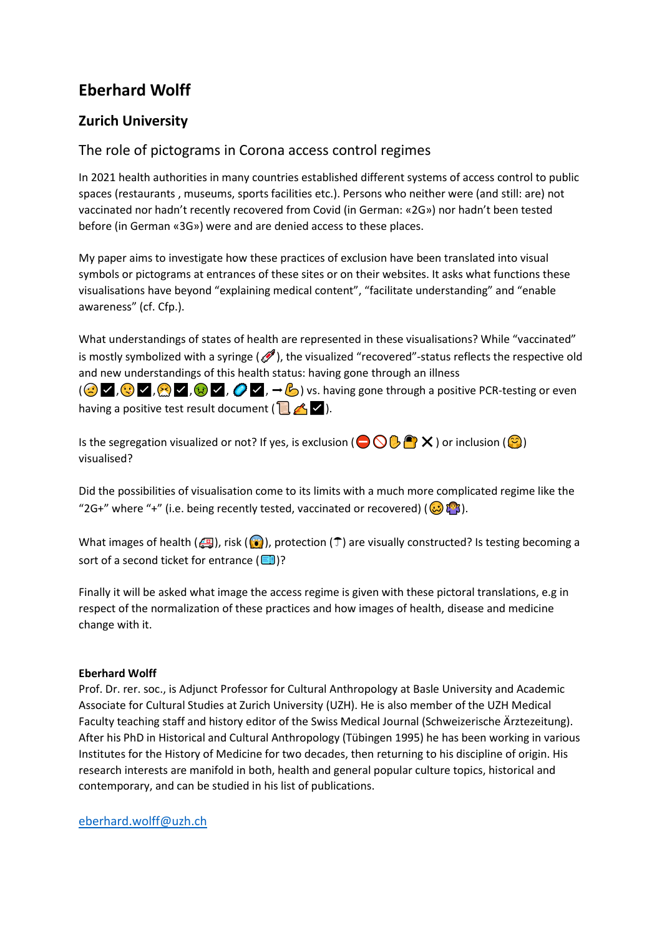## **Eberhard Wolff**

## **Zurich University**

### The role of pictograms in Corona access control regimes

In 2021 health authorities in many countries established different systems of access control to public spaces (restaurants , museums, sports facilities etc.). Persons who neither were (and still: are) not vaccinated nor hadn't recently recovered from Covid (in German: «2G») nor hadn't been tested before (in German «3G») were and are denied access to these places.

My paper aims to investigate how these practices of exclusion have been translated into visual symbols or pictograms at entrances of these sites or on their websites. It asks what functions these visualisations have beyond "explaining medical content", "facilitate understanding" and "enable awareness" (cf. Cfp.).

What understandings of states of health are represented in these visualisations? While "vaccinated" is mostly symbolized with a syringe  $(\mathcal{O})$ , the visualized "recovered"-status reflects the respective old and new understandings of this health status: having gone through an illness

 $(\bigodot \blacktriangledown, \bigodot \blacktriangledown, \bigodot \blacktriangledown, \bigodot \blacktriangledown, \rightarrow \bigodot)$  vs. having gone through a positive PCR-testing or even having a positive test result document ( $\blacksquare$   $\blacktriangle$   $\blacktriangleright$ ).

Is the segregation visualized or not? If yes, is exclusion ( $\bigodot \bigodot \bigodot \bigodot$ )  $\times$  ) or inclusion ( $\bigodot$ ) visualised?

Did the possibilities of visualisation come to its limits with a much more complicated regime like the "2G+" where "+" (i.e. being recently tested, vaccinated or recovered) ( $\bigodot \mathbb{C}^n$ ).

What images of health ( $\Box$ ), risk ( $\odot$ ), protection ( $\Box$ ) are visually constructed? Is testing becoming a sort of a second ticket for entrance  $(\blacksquare)$ ?

Finally it will be asked what image the access regime is given with these pictoral translations, e.g in respect of the normalization of these practices and how images of health, disease and medicine change with it.

#### **Eberhard Wolff**

Prof. Dr. rer. soc., is Adjunct Professor for Cultural Anthropology at Basle University and Academic Associate for Cultural Studies at Zurich University (UZH). He is also member of the UZH Medical Faculty teaching staff and history editor of the Swiss Medical Journal (Schweizerische Ärztezeitung). After his PhD in Historical and Cultural Anthropology (Tübingen 1995) he has been working in various Institutes for the History of Medicine for two decades, then returning to his discipline of origin. His research interests are manifold in both, health and general popular culture topics, historical and contemporary, and can be studied in his list of publications.

[eberhard.wolff@uzh.ch](mailto:eberhard.wolff@uzh.ch)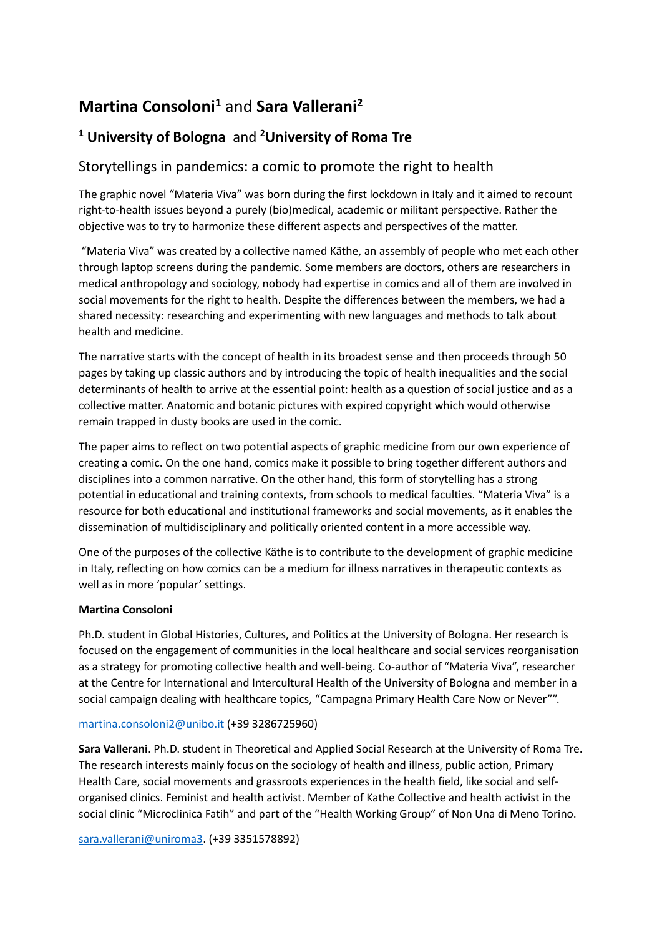## **Martina Consoloni<sup>1</sup>** and **Sara Vallerani<sup>2</sup>**

## **<sup>1</sup> University of Bologna** and **<sup>2</sup>University of Roma Tre**

### Storytellings in pandemics: a comic to promote the right to health

The graphic novel "Materia Viva" was born during the first lockdown in Italy and it aimed to recount right-to-health issues beyond a purely (bio)medical, academic or militant perspective. Rather the objective was to try to harmonize these different aspects and perspectives of the matter.

"Materia Viva" was created by a collective named Käthe, an assembly of people who met each other through laptop screens during the pandemic. Some members are doctors, others are researchers in medical anthropology and sociology, nobody had expertise in comics and all of them are involved in social movements for the right to health. Despite the differences between the members, we had a shared necessity: researching and experimenting with new languages and methods to talk about health and medicine.

The narrative starts with the concept of health in its broadest sense and then proceeds through 50 pages by taking up classic authors and by introducing the topic of health inequalities and the social determinants of health to arrive at the essential point: health as a question of social justice and as a collective matter. Anatomic and botanic pictures with expired copyright which would otherwise remain trapped in dusty books are used in the comic.

The paper aims to reflect on two potential aspects of graphic medicine from our own experience of creating a comic. On the one hand, comics make it possible to bring together different authors and disciplines into a common narrative. On the other hand, this form of storytelling has a strong potential in educational and training contexts, from schools to medical faculties. "Materia Viva" is a resource for both educational and institutional frameworks and social movements, as it enables the dissemination of multidisciplinary and politically oriented content in a more accessible way.

One of the purposes of the collective Käthe is to contribute to the development of graphic medicine in Italy, reflecting on how comics can be a medium for illness narratives in therapeutic contexts as well as in more 'popular' settings.

#### **Martina Consoloni**

Ph.D. student in Global Histories, Cultures, and Politics at the University of Bologna. Her research is focused on the engagement of communities in the local healthcare and social services reorganisation as a strategy for promoting collective health and well-being. Co-author of "Materia Viva", researcher at the Centre for International and Intercultural Health of the University of Bologna and member in a social campaign dealing with healthcare topics, "Campagna Primary Health Care Now or Never"".

#### [martina.consoloni2@unibo.it](mailto:martina.consoloni2@unibo.it) (+39 3286725960)

**Sara Vallerani**. Ph.D. student in Theoretical and Applied Social Research at the University of Roma Tre. The research interests mainly focus on the sociology of health and illness, public action, Primary Health Care, social movements and grassroots experiences in the health field, like social and selforganised clinics. Feminist and health activist. Member of Kathe Collective and health activist in the social clinic "Microclinica Fatih" and part of the "Health Working Group" of Non Una di Meno Torino.

[sara.vallerani@uniroma3.](mailto:sara.vallerani@uniroma3) (+39 3351578892)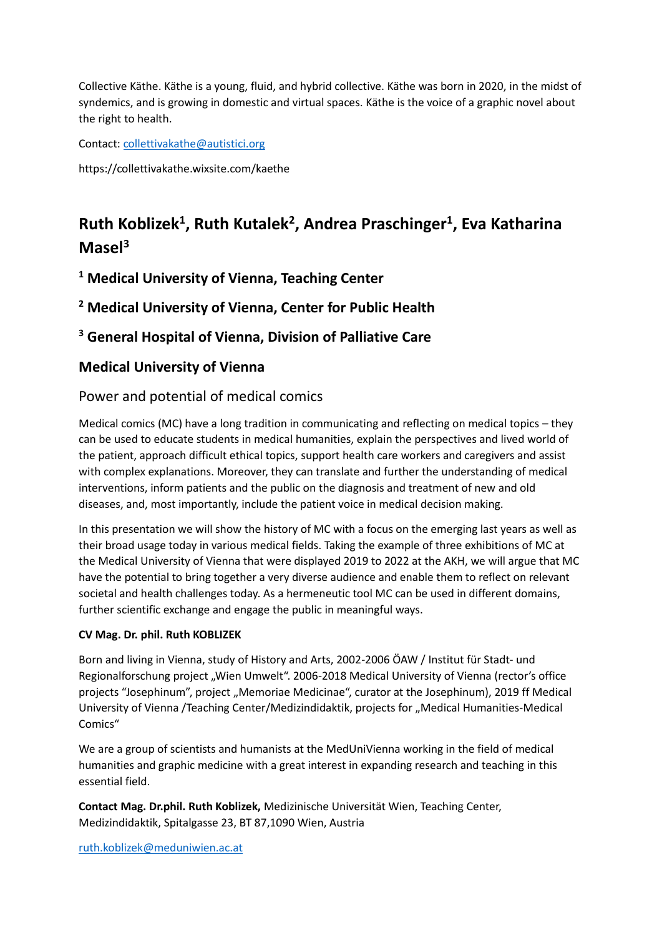Collective Käthe. Käthe is a young, fluid, and hybrid collective. Käthe was born in 2020, in the midst of syndemics, and is growing in domestic and virtual spaces. Käthe is the voice of a graphic novel about the right to health.

Contact: [collettivakathe@autistici.org](mailto:collettivakathe@autistici.org)

https://collettivakathe.wixsite.com/kaethe

## **Ruth Koblizek<sup>1</sup> , Ruth Kutalek<sup>2</sup> , Andrea Praschinger<sup>1</sup> , Eva Katharina Masel<sup>3</sup>**

**<sup>1</sup> Medical University of Vienna, Teaching Center**

**<sup>2</sup> Medical University of Vienna, Center for Public Health**

**<sup>3</sup> General Hospital of Vienna, Division of Palliative Care**

### **Medical University of Vienna**

### Power and potential of medical comics

Medical comics (MC) have a long tradition in communicating and reflecting on medical topics – they can be used to educate students in medical humanities, explain the perspectives and lived world of the patient, approach difficult ethical topics, support health care workers and caregivers and assist with complex explanations. Moreover, they can translate and further the understanding of medical interventions, inform patients and the public on the diagnosis and treatment of new and old diseases, and, most importantly, include the patient voice in medical decision making.

In this presentation we will show the history of MC with a focus on the emerging last years as well as their broad usage today in various medical fields. Taking the example of three exhibitions of MC at the Medical University of Vienna that were displayed 2019 to 2022 at the AKH, we will argue that MC have the potential to bring together a very diverse audience and enable them to reflect on relevant societal and health challenges today. As a hermeneutic tool MC can be used in different domains, further scientific exchange and engage the public in meaningful ways.

#### **CV Mag. Dr. phil. Ruth KOBLIZEK**

Born and living in Vienna, study of History and Arts, 2002-2006 ÖAW / Institut für Stadt- und Regionalforschung project "Wien Umwelt". 2006-2018 Medical University of Vienna (rector's office projects "Josephinum", project "Memoriae Medicinae", curator at the Josephinum), 2019 ff Medical University of Vienna /Teaching Center/Medizindidaktik, projects for "Medical Humanities-Medical Comics"

We are a group of scientists and humanists at the MedUniVienna working in the field of medical humanities and graphic medicine with a great interest in expanding research and teaching in this essential field.

**Contact Mag. Dr.phil. Ruth Koblizek,** Medizinische Universität Wien, Teaching Center, Medizindidaktik, Spitalgasse 23, BT 87,1090 Wien, Austria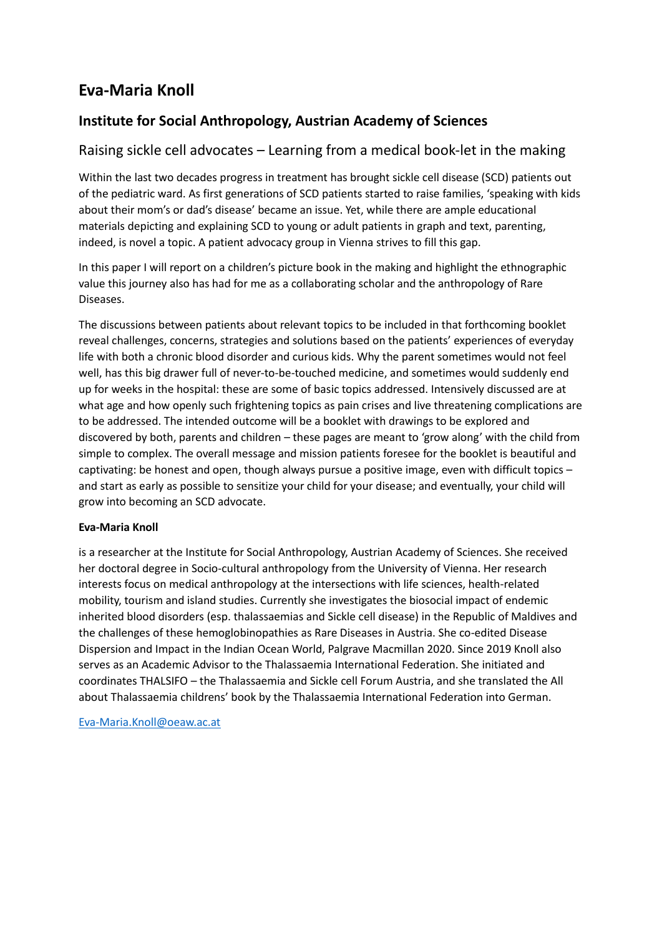## **Eva-Maria Knoll**

### **Institute for Social Anthropology, Austrian Academy of Sciences**

### Raising sickle cell advocates – Learning from a medical book-let in the making

Within the last two decades progress in treatment has brought sickle cell disease (SCD) patients out of the pediatric ward. As first generations of SCD patients started to raise families, 'speaking with kids about their mom's or dad's disease' became an issue. Yet, while there are ample educational materials depicting and explaining SCD to young or adult patients in graph and text, parenting, indeed, is novel a topic. A patient advocacy group in Vienna strives to fill this gap.

In this paper I will report on a children's picture book in the making and highlight the ethnographic value this journey also has had for me as a collaborating scholar and the anthropology of Rare Diseases.

The discussions between patients about relevant topics to be included in that forthcoming booklet reveal challenges, concerns, strategies and solutions based on the patients' experiences of everyday life with both a chronic blood disorder and curious kids. Why the parent sometimes would not feel well, has this big drawer full of never-to-be-touched medicine, and sometimes would suddenly end up for weeks in the hospital: these are some of basic topics addressed. Intensively discussed are at what age and how openly such frightening topics as pain crises and live threatening complications are to be addressed. The intended outcome will be a booklet with drawings to be explored and discovered by both, parents and children – these pages are meant to 'grow along' with the child from simple to complex. The overall message and mission patients foresee for the booklet is beautiful and captivating: be honest and open, though always pursue a positive image, even with difficult topics – and start as early as possible to sensitize your child for your disease; and eventually, your child will grow into becoming an SCD advocate.

#### **Eva-Maria Knoll**

is a researcher at the Institute for Social Anthropology, Austrian Academy of Sciences. She received her doctoral degree in Socio-cultural anthropology from the University of Vienna. Her research interests focus on medical anthropology at the intersections with life sciences, health-related mobility, tourism and island studies. Currently she investigates the biosocial impact of endemic inherited blood disorders (esp. thalassaemias and Sickle cell disease) in the Republic of Maldives and the challenges of these hemoglobinopathies as Rare Diseases in Austria. She co-edited Disease Dispersion and Impact in the Indian Ocean World, Palgrave Macmillan 2020. Since 2019 Knoll also serves as an Academic Advisor to the Thalassaemia International Federation. She initiated and coordinates THALSIFO – the Thalassaemia and Sickle cell Forum Austria, and she translated the All about Thalassaemia childrens' book by the Thalassaemia International Federation into German.

[Eva-Maria.Knoll@oeaw.ac.at](mailto:Eva-Maria.Knoll@oeaw.ac.at)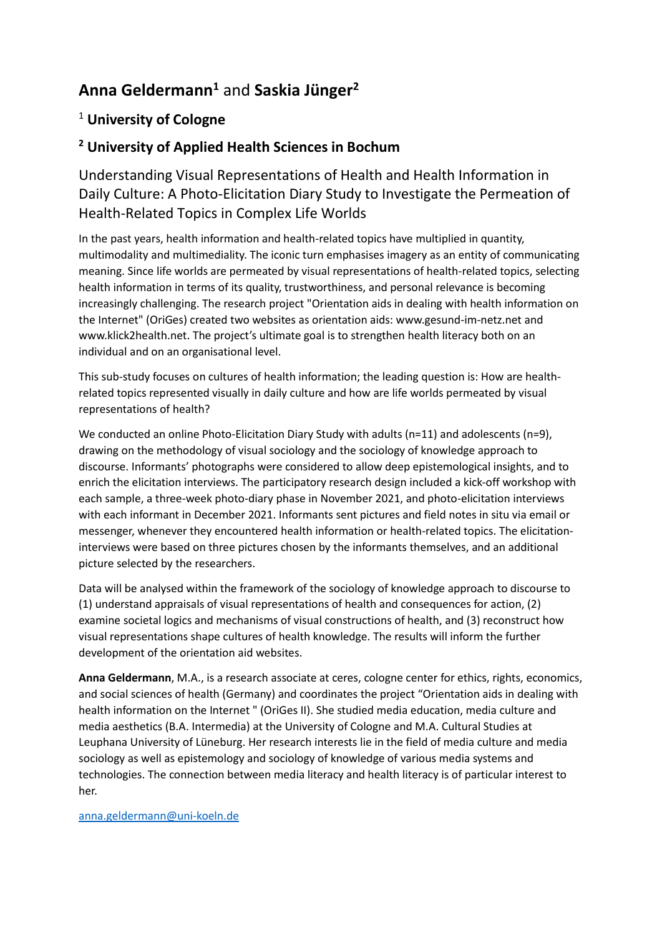## **Anna Geldermann<sup>1</sup>** and **Saskia Jünger<sup>2</sup>**

## <sup>1</sup> **University of Cologne**

### **<sup>2</sup> University of Applied Health Sciences in Bochum**

Understanding Visual Representations of Health and Health Information in Daily Culture: A Photo-Elicitation Diary Study to Investigate the Permeation of Health-Related Topics in Complex Life Worlds

In the past years, health information and health-related topics have multiplied in quantity, multimodality and multimediality. The iconic turn emphasises imagery as an entity of communicating meaning. Since life worlds are permeated by visual representations of health-related topics, selecting health information in terms of its quality, trustworthiness, and personal relevance is becoming increasingly challenging. The research project "Orientation aids in dealing with health information on the Internet" (OriGes) created two websites as orientation aids: www.gesund-im-netz.net and www.klick2health.net. The project's ultimate goal is to strengthen health literacy both on an individual and on an organisational level.

This sub-study focuses on cultures of health information; the leading question is: How are healthrelated topics represented visually in daily culture and how are life worlds permeated by visual representations of health?

We conducted an online Photo-Elicitation Diary Study with adults (n=11) and adolescents (n=9), drawing on the methodology of visual sociology and the sociology of knowledge approach to discourse. Informants' photographs were considered to allow deep epistemological insights, and to enrich the elicitation interviews. The participatory research design included a kick-off workshop with each sample, a three-week photo-diary phase in November 2021, and photo-elicitation interviews with each informant in December 2021. Informants sent pictures and field notes in situ via email or messenger, whenever they encountered health information or health-related topics. The elicitationinterviews were based on three pictures chosen by the informants themselves, and an additional picture selected by the researchers.

Data will be analysed within the framework of the sociology of knowledge approach to discourse to (1) understand appraisals of visual representations of health and consequences for action, (2) examine societal logics and mechanisms of visual constructions of health, and (3) reconstruct how visual representations shape cultures of health knowledge. The results will inform the further development of the orientation aid websites.

**Anna Geldermann**, M.A., is a research associate at ceres, cologne center for ethics, rights, economics, and social sciences of health (Germany) and coordinates the project "Orientation aids in dealing with health information on the Internet " (OriGes II). She studied media education, media culture and media aesthetics (B.A. Intermedia) at the University of Cologne and M.A. Cultural Studies at Leuphana University of Lüneburg. Her research interests lie in the field of media culture and media sociology as well as epistemology and sociology of knowledge of various media systems and technologies. The connection between media literacy and health literacy is of particular interest to her.

[anna.geldermann@uni-koeln.de](mailto:anna.geldermann@uni-koeln.de)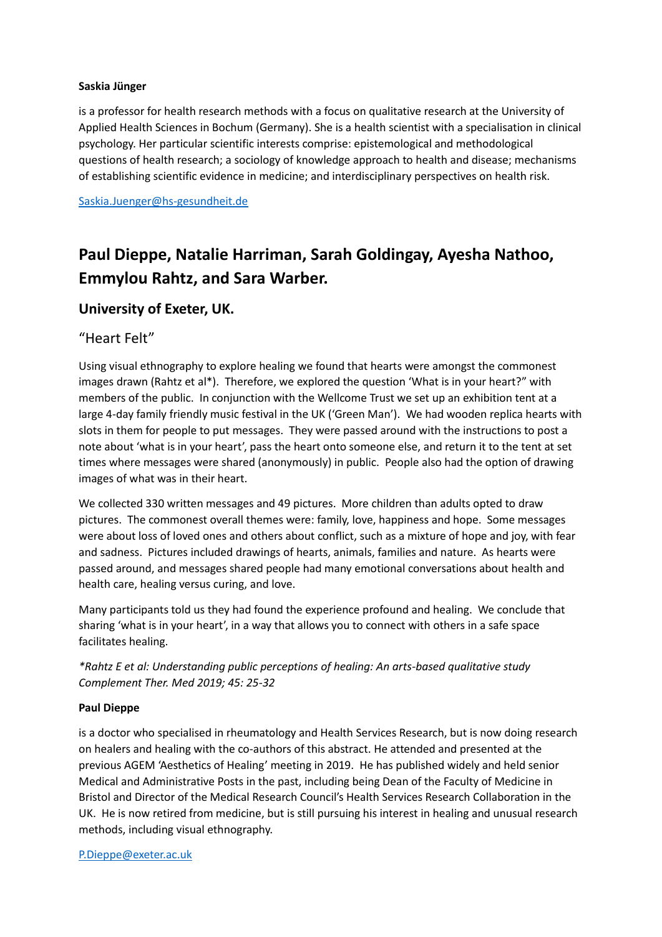#### **Saskia Jünger**

is a professor for health research methods with a focus on qualitative research at the University of Applied Health Sciences in Bochum (Germany). She is a health scientist with a specialisation in clinical psychology. Her particular scientific interests comprise: epistemological and methodological questions of health research; a sociology of knowledge approach to health and disease; mechanisms of establishing scientific evidence in medicine; and interdisciplinary perspectives on health risk.

[Saskia.Juenger@hs-gesundheit.de](mailto:Saskia.Juenger@hs-gesundheit.de)

## **Paul Dieppe, Natalie Harriman, Sarah Goldingay, Ayesha Nathoo, Emmylou Rahtz, and Sara Warber.**

#### **University of Exeter, UK.**

#### "Heart Felt"

Using visual ethnography to explore healing we found that hearts were amongst the commonest images drawn (Rahtz et al\*). Therefore, we explored the question 'What is in your heart?" with members of the public. In conjunction with the Wellcome Trust we set up an exhibition tent at a large 4-day family friendly music festival in the UK ('Green Man'). We had wooden replica hearts with slots in them for people to put messages. They were passed around with the instructions to post a note about 'what is in your heart', pass the heart onto someone else, and return it to the tent at set times where messages were shared (anonymously) in public. People also had the option of drawing images of what was in their heart.

We collected 330 written messages and 49 pictures. More children than adults opted to draw pictures. The commonest overall themes were: family, love, happiness and hope. Some messages were about loss of loved ones and others about conflict, such as a mixture of hope and joy, with fear and sadness. Pictures included drawings of hearts, animals, families and nature. As hearts were passed around, and messages shared people had many emotional conversations about health and health care, healing versus curing, and love.

Many participants told us they had found the experience profound and healing. We conclude that sharing 'what is in your heart', in a way that allows you to connect with others in a safe space facilitates healing.

*\*Rahtz E et al: Understanding public perceptions of healing: An arts-based qualitative study Complement Ther. Med 2019; 45: 25-32*

#### **Paul Dieppe**

is a doctor who specialised in rheumatology and Health Services Research, but is now doing research on healers and healing with the co-authors of this abstract. He attended and presented at the previous AGEM 'Aesthetics of Healing' meeting in 2019. He has published widely and held senior Medical and Administrative Posts in the past, including being Dean of the Faculty of Medicine in Bristol and Director of the Medical Research Council's Health Services Research Collaboration in the UK. He is now retired from medicine, but is still pursuing his interest in healing and unusual research methods, including visual ethnography.

#### [P.Dieppe@exeter.ac.uk](mailto:P.Dieppe@exeter.ac.uk)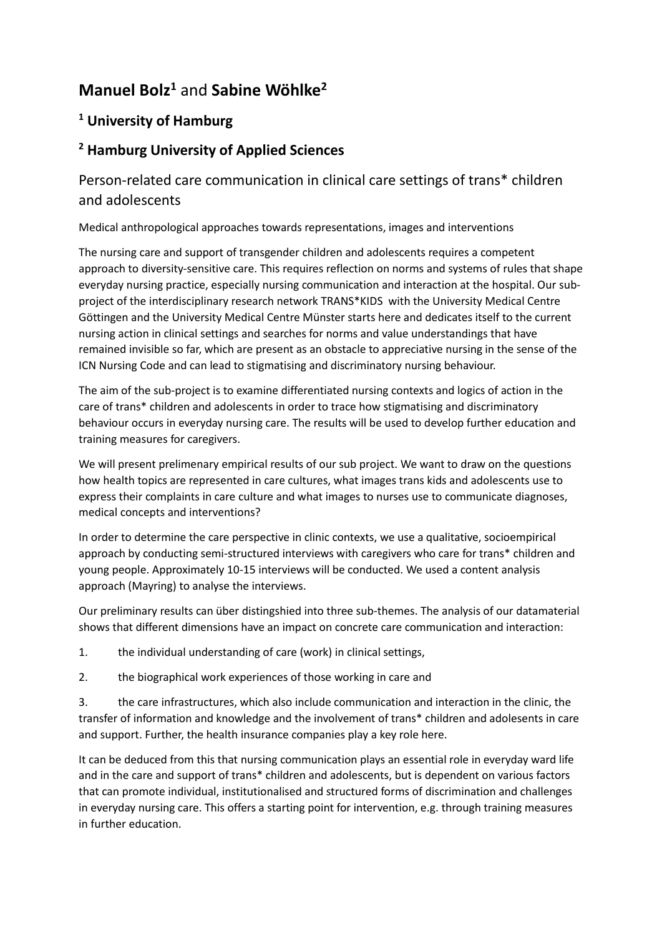## **Manuel Bolz<sup>1</sup>** and **Sabine Wöhlke<sup>2</sup>**

## **<sup>1</sup> University of Hamburg**

### **<sup>2</sup> Hamburg University of Applied Sciences**

## Person-related care communication in clinical care settings of trans\* children and adolescents

Medical anthropological approaches towards representations, images and interventions

The nursing care and support of transgender children and adolescents requires a competent approach to diversity-sensitive care. This requires reflection on norms and systems of rules that shape everyday nursing practice, especially nursing communication and interaction at the hospital. Our subproject of the interdisciplinary research network TRANS\*KIDS with the University Medical Centre Göttingen and the University Medical Centre Münster starts here and dedicates itself to the current nursing action in clinical settings and searches for norms and value understandings that have remained invisible so far, which are present as an obstacle to appreciative nursing in the sense of the ICN Nursing Code and can lead to stigmatising and discriminatory nursing behaviour.

The aim of the sub-project is to examine differentiated nursing contexts and logics of action in the care of trans\* children and adolescents in order to trace how stigmatising and discriminatory behaviour occurs in everyday nursing care. The results will be used to develop further education and training measures for caregivers.

We will present prelimenary empirical results of our sub project. We want to draw on the questions how health topics are represented in care cultures, what images trans kids and adolescents use to express their complaints in care culture and what images to nurses use to communicate diagnoses, medical concepts and interventions?

In order to determine the care perspective in clinic contexts, we use a qualitative, socioempirical approach by conducting semi-structured interviews with caregivers who care for trans\* children and young people. Approximately 10-15 interviews will be conducted. We used a content analysis approach (Mayring) to analyse the interviews.

Our preliminary results can über distingshied into three sub-themes. The analysis of our datamaterial shows that different dimensions have an impact on concrete care communication and interaction:

1. the individual understanding of care (work) in clinical settings,

2. the biographical work experiences of those working in care and

3. the care infrastructures, which also include communication and interaction in the clinic, the transfer of information and knowledge and the involvement of trans\* children and adolesents in care and support. Further, the health insurance companies play a key role here.

It can be deduced from this that nursing communication plays an essential role in everyday ward life and in the care and support of trans\* children and adolescents, but is dependent on various factors that can promote individual, institutionalised and structured forms of discrimination and challenges in everyday nursing care. This offers a starting point for intervention, e.g. through training measures in further education.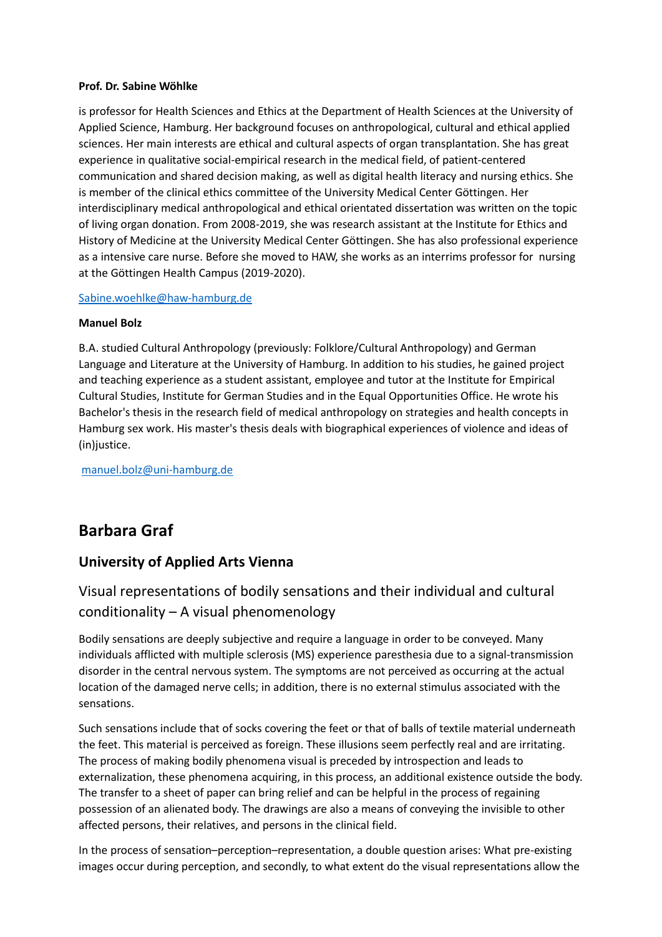#### **Prof. Dr. Sabine Wöhlke**

is professor for Health Sciences and Ethics at the Department of Health Sciences at the University of Applied Science, Hamburg. Her background focuses on anthropological, cultural and ethical applied sciences. Her main interests are ethical and cultural aspects of organ transplantation. She has great experience in qualitative social-empirical research in the medical field, of patient-centered communication and shared decision making, as well as digital health literacy and nursing ethics. She is member of the clinical ethics committee of the University Medical Center Göttingen. Her interdisciplinary medical anthropological and ethical orientated dissertation was written on the topic of living organ donation. From 2008-2019, she was research assistant at the Institute for Ethics and History of Medicine at the University Medical Center Göttingen. She has also professional experience as a intensive care nurse. Before she moved to HAW, she works as an interrims professor for nursing at the Göttingen Health Campus (2019-2020).

#### [Sabine.woehlke@haw-hamburg.de](mailto:Sabine.woehlke@haw-hamburg.de)

#### **Manuel Bolz**

B.A. studied Cultural Anthropology (previously: Folklore/Cultural Anthropology) and German Language and Literature at the University of Hamburg. In addition to his studies, he gained project and teaching experience as a student assistant, employee and tutor at the Institute for Empirical Cultural Studies, Institute for German Studies and in the Equal Opportunities Office. He wrote his Bachelor's thesis in the research field of medical anthropology on strategies and health concepts in Hamburg sex work. His master's thesis deals with biographical experiences of violence and ideas of (in)justice.

[manuel.bolz@uni-hamburg.de](mailto:manuel.bolz@uni-hamburg.de)

## **Barbara Graf**

### **University of Applied Arts Vienna**

### Visual representations of bodily sensations and their individual and cultural conditionality – A visual phenomenology

Bodily sensations are deeply subjective and require a language in order to be conveyed. Many individuals afflicted with multiple sclerosis (MS) experience paresthesia due to a signal-transmission disorder in the central nervous system. The symptoms are not perceived as occurring at the actual location of the damaged nerve cells; in addition, there is no external stimulus associated with the sensations.

Such sensations include that of socks covering the feet or that of balls of textile material underneath the feet. This material is perceived as foreign. These illusions seem perfectly real and are irritating. The process of making bodily phenomena visual is preceded by introspection and leads to externalization, these phenomena acquiring, in this process, an additional existence outside the body. The transfer to a sheet of paper can bring relief and can be helpful in the process of regaining possession of an alienated body. The drawings are also a means of conveying the invisible to other affected persons, their relatives, and persons in the clinical field.

In the process of sensation–perception–representation, a double question arises: What pre-existing images occur during perception, and secondly, to what extent do the visual representations allow the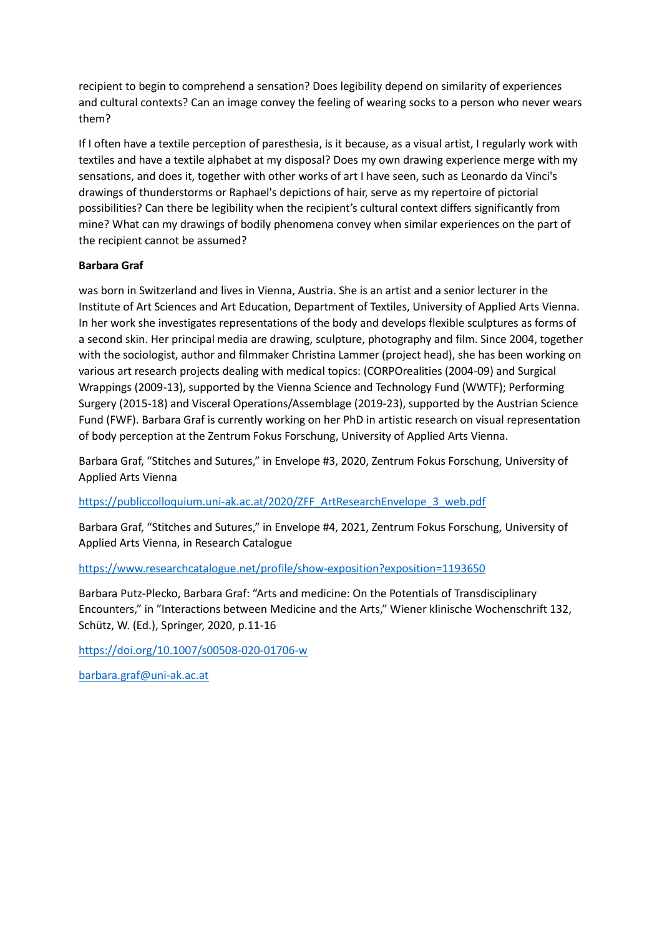recipient to begin to comprehend a sensation? Does legibility depend on similarity of experiences and cultural contexts? Can an image convey the feeling of wearing socks to a person who never wears them?

If I often have a textile perception of paresthesia, is it because, as a visual artist, I regularly work with textiles and have a textile alphabet at my disposal? Does my own drawing experience merge with my sensations, and does it, together with other works of art I have seen, such as Leonardo da Vinci's drawings of thunderstorms or Raphael's depictions of hair, serve as my repertoire of pictorial possibilities? Can there be legibility when the recipient's cultural context differs significantly from mine? What can my drawings of bodily phenomena convey when similar experiences on the part of the recipient cannot be assumed?

#### **Barbara Graf**

was born in Switzerland and lives in Vienna, Austria. She is an artist and a senior lecturer in the Institute of Art Sciences and Art Education, Department of Textiles, University of Applied Arts Vienna. In her work she investigates representations of the body and develops flexible sculptures as forms of a second skin. Her principal media are drawing, sculpture, photography and film. Since 2004, together with the sociologist, author and filmmaker Christina Lammer (project head), she has been working on various art research projects dealing with medical topics: (CORPOrealities (2004-09) and Surgical Wrappings (2009-13), supported by the Vienna Science and Technology Fund (WWTF); Performing Surgery (2015-18) and Visceral Operations/Assemblage (2019-23), supported by the Austrian Science Fund (FWF). Barbara Graf is currently working on her PhD in artistic research on visual representation of body perception at the Zentrum Fokus Forschung, University of Applied Arts Vienna.

Barbara Graf, "Stitches and Sutures," in Envelope #3, 2020, Zentrum Fokus Forschung, University of Applied Arts Vienna

[https://publiccolloquium.uni-ak.ac.at/2020/ZFF\\_ArtResearchEnvelope\\_3\\_web.pdf](https://publiccolloquium.uni-ak.ac.at/2020/ZFF_ArtResearchEnvelope_3_web.pdf)

Barbara Graf, "Stitches and Sutures," in Envelope #4, 2021, Zentrum Fokus Forschung, University of Applied Arts Vienna, in Research Catalogue

<https://www.researchcatalogue.net/profile/show-exposition?exposition=1193650>

Barbara Putz-Plecko, Barbara Graf: "Arts and medicine: On the Potentials of Transdisciplinary Encounters," in "Interactions between Medicine and the Arts," Wiener klinische Wochenschrift 132, Schütz, W. (Ed.), Springer, 2020, p.11-16

<https://doi.org/10.1007/s00508-020-01706-w>

[barbara.graf@uni-ak.ac.at](mailto:barbara.graf@uni-ak.ac.at)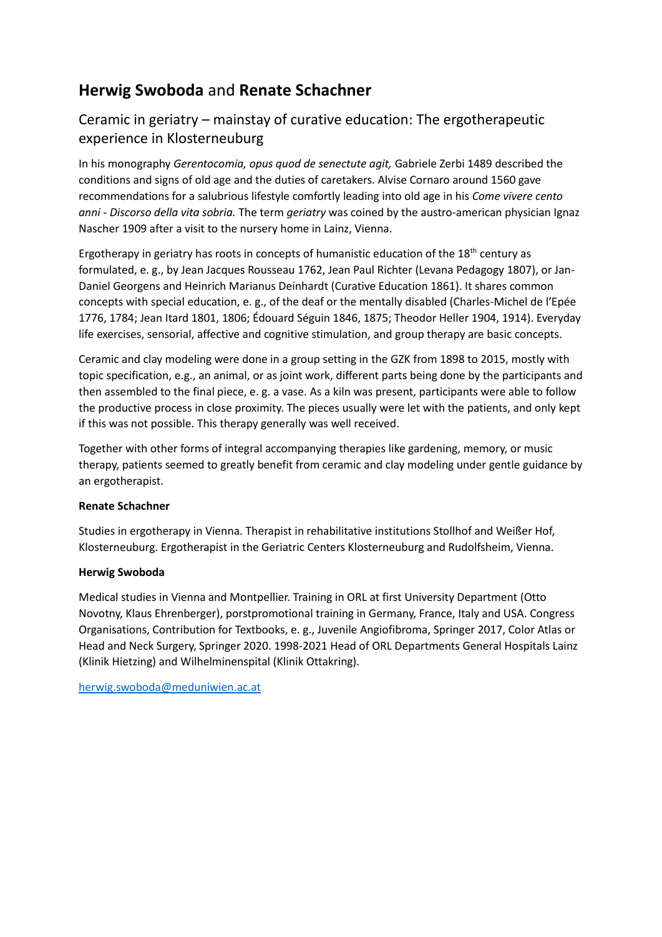## **Herwig Swoboda** and **Renate Schachner**

## Ceramic in geriatry – mainstay of curative education: The ergotherapeutic experience in Klosterneuburg

In his monography *Gerentocomia, opus quod de senectute agit,* Gabriele Zerbi 1489 described the conditions and signs of old age and the duties of caretakers. Alvise Cornaro around 1560 gave recommendations for a salubrious lifestyle comfortly leading into old age in his *Come vivere cento anni - Discorso della vita sobria.* The term *geriatry* was coined by the austro-american physician Ignaz Nascher 1909 after a visit to the nursery home in Lainz, Vienna.

Ergotherapy in geriatry has roots in concepts of humanistic education of the  $18<sup>th</sup>$  century as formulated, e. g., by Jean Jacques Rousseau 1762, Jean Paul Richter (Levana Pedagogy 1807), or Jan-Daniel Georgens and Heinrich Marianus Deinhardt (Curative Education 1861). It shares common concepts with special education, e. g., of the deaf or the mentally disabled (Charles-Michel de l'Epée 1776, 1784; Jean Itard 1801, 1806; Édouard Séguin 1846, 1875; Theodor Heller 1904, 1914). Everyday life exercises, sensorial, affective and cognitive stimulation, and group therapy are basic concepts.

Ceramic and clay modeling were done in a group setting in the GZK from 1898 to 2015, mostly with topic specification, e.g., an animal, or as joint work, different parts being done by the participants and then assembled to the final piece, e. g. a vase. As a kiln was present, participants were able to follow the productive process in close proximity. The pieces usually were let with the patients, and only kept if this was not possible. This therapy generally was well received.

Together with other forms of integral accompanying therapies like gardening, memory, or music therapy, patients seemed to greatly benefit from ceramic and clay modeling under gentle guidance by an ergotherapist.

#### **Renate Schachner**

Studies in ergotherapy in Vienna. Therapist in rehabilitative institutions Stollhof and Weißer Hof, Klosterneuburg. Ergotherapist in the Geriatric Centers Klosterneuburg and Rudolfsheim, Vienna.

#### **Herwig Swoboda**

Medical studies in Vienna and Montpellier. Training in ORL at first University Department (Otto Novotny, Klaus Ehrenberger), porstpromotional training in Germany, France, Italy and USA. Congress Organisations, Contribution for Textbooks, e. g., Juvenile Angiofibroma, Springer 2017, Color Atlas or Head and Neck Surgery, Springer 2020. 1998-2021 Head of ORL Departments General Hospitals Lainz (Klinik Hietzing) and Wilhelminenspital (Klinik Ottakring).

[herwig.swoboda@meduniwien.ac.at](mailto:herwig.swoboda@meduniwien.ac.at)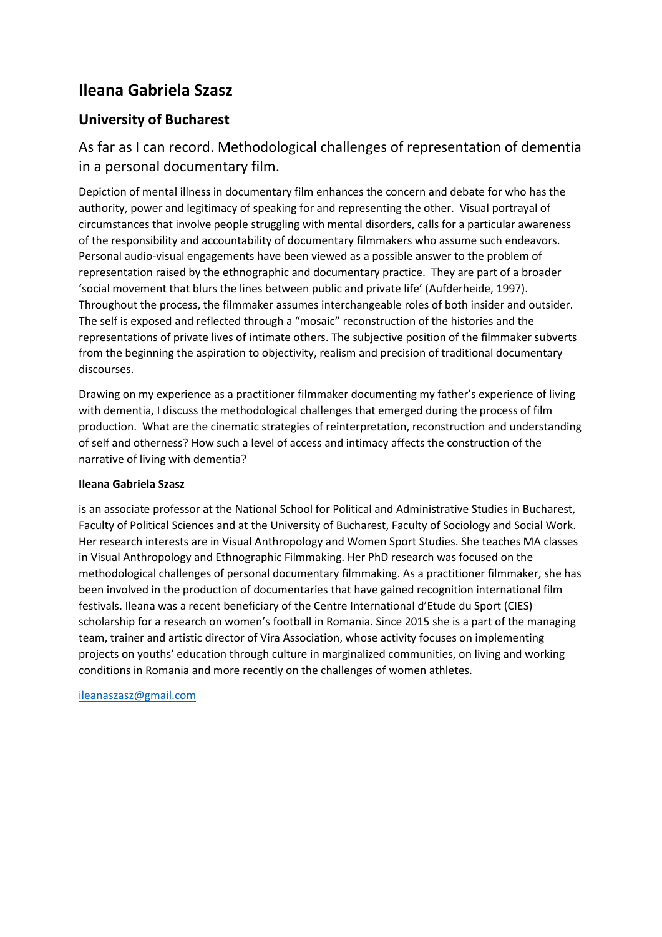## **Ileana Gabriela Szasz**

### **University of Bucharest**

## As far as I can record. Methodological challenges of representation of dementia in a personal documentary film.

Depiction of mental illness in documentary film enhances the concern and debate for who has the authority, power and legitimacy of speaking for and representing the other. Visual portrayal of circumstances that involve people struggling with mental disorders, calls for a particular awareness of the responsibility and accountability of documentary filmmakers who assume such endeavors. Personal audio-visual engagements have been viewed as a possible answer to the problem of representation raised by the ethnographic and documentary practice. They are part of a broader 'social movement that blurs the lines between public and private life' (Aufderheide, 1997). Throughout the process, the filmmaker assumes interchangeable roles of both insider and outsider. The self is exposed and reflected through a "mosaic" reconstruction of the histories and the representations of private lives of intimate others. The subjective position of the filmmaker subverts from the beginning the aspiration to objectivity, realism and precision of traditional documentary discourses.

Drawing on my experience as a practitioner filmmaker documenting my father's experience of living with dementia, I discuss the methodological challenges that emerged during the process of film production. What are the cinematic strategies of reinterpretation, reconstruction and understanding of self and otherness? How such a level of access and intimacy affects the construction of the narrative of living with dementia?

#### **Ileana Gabriela Szasz**

is an associate professor at the National School for Political and Administrative Studies in Bucharest, Faculty of Political Sciences and at the University of Bucharest, Faculty of Sociology and Social Work. Her research interests are in Visual Anthropology and Women Sport Studies. She teaches MA classes in Visual Anthropology and Ethnographic Filmmaking. Her PhD research was focused on the methodological challenges of personal documentary filmmaking. As a practitioner filmmaker, she has been involved in the production of documentaries that have gained recognition international film festivals. Ileana was a recent beneficiary of the Centre International d'Etude du Sport (CIES) scholarship for a research on women's football in Romania. Since 2015 she is a part of the managing team, trainer and artistic director of Vira Association, whose activity focuses on implementing projects on youths' education through culture in marginalized communities, on living and working conditions in Romania and more recently on the challenges of women athletes.

[ileanaszasz@gmail.com](mailto:ileanaszasz@gmail.com)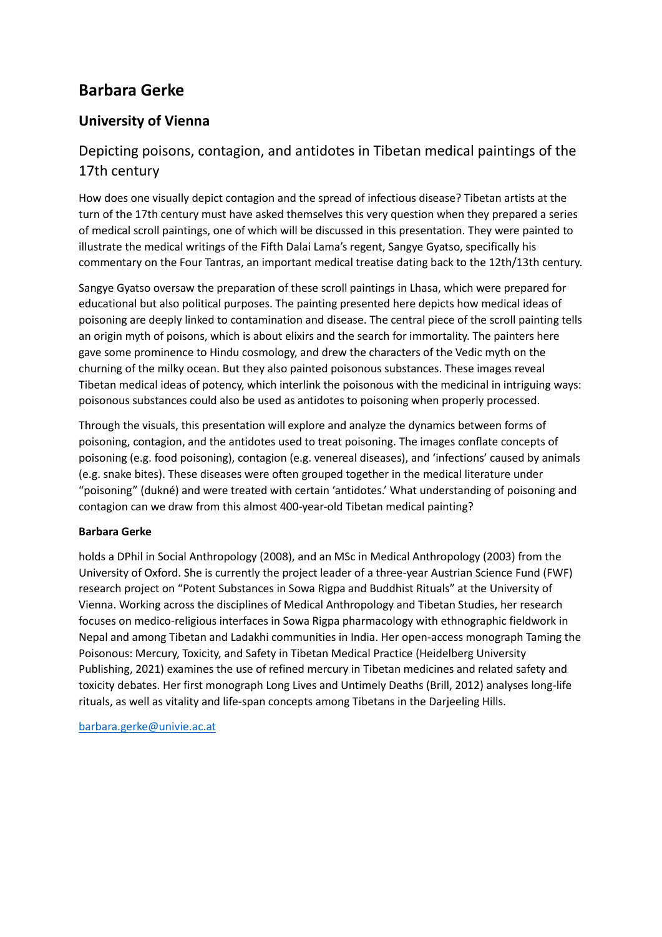## **Barbara Gerke**

### **University of Vienna**

## Depicting poisons, contagion, and antidotes in Tibetan medical paintings of the 17th century

How does one visually depict contagion and the spread of infectious disease? Tibetan artists at the turn of the 17th century must have asked themselves this very question when they prepared a series of medical scroll paintings, one of which will be discussed in this presentation. They were painted to illustrate the medical writings of the Fifth Dalai Lama's regent, Sangye Gyatso, specifically his commentary on the Four Tantras, an important medical treatise dating back to the 12th/13th century.

Sangye Gyatso oversaw the preparation of these scroll paintings in Lhasa, which were prepared for educational but also political purposes. The painting presented here depicts how medical ideas of poisoning are deeply linked to contamination and disease. The central piece of the scroll painting tells an origin myth of poisons, which is about elixirs and the search for immortality. The painters here gave some prominence to Hindu cosmology, and drew the characters of the Vedic myth on the churning of the milky ocean. But they also painted poisonous substances. These images reveal Tibetan medical ideas of potency, which interlink the poisonous with the medicinal in intriguing ways: poisonous substances could also be used as antidotes to poisoning when properly processed.

Through the visuals, this presentation will explore and analyze the dynamics between forms of poisoning, contagion, and the antidotes used to treat poisoning. The images conflate concepts of poisoning (e.g. food poisoning), contagion (e.g. venereal diseases), and 'infections' caused by animals (e.g. snake bites). These diseases were often grouped together in the medical literature under "poisoning" (dukné) and were treated with certain 'antidotes.' What understanding of poisoning and contagion can we draw from this almost 400-year-old Tibetan medical painting?

#### **Barbara Gerke**

holds a DPhil in Social Anthropology (2008), and an MSc in Medical Anthropology (2003) from the University of Oxford. She is currently the project leader of a three-year Austrian Science Fund (FWF) research project on "Potent Substances in Sowa Rigpa and Buddhist Rituals" at the University of Vienna. Working across the disciplines of Medical Anthropology and Tibetan Studies, her research focuses on medico-religious interfaces in Sowa Rigpa pharmacology with ethnographic fieldwork in Nepal and among Tibetan and Ladakhi communities in India. Her open-access monograph Taming the Poisonous: Mercury, Toxicity, and Safety in Tibetan Medical Practice (Heidelberg University Publishing, 2021) examines the use of refined mercury in Tibetan medicines and related safety and toxicity debates. Her first monograph Long Lives and Untimely Deaths (Brill, 2012) analyses long-life rituals, as well as vitality and life-span concepts among Tibetans in the Darjeeling Hills.

[barbara.gerke@univie.ac.at](mailto:barbara.gerke@univie.ac.at)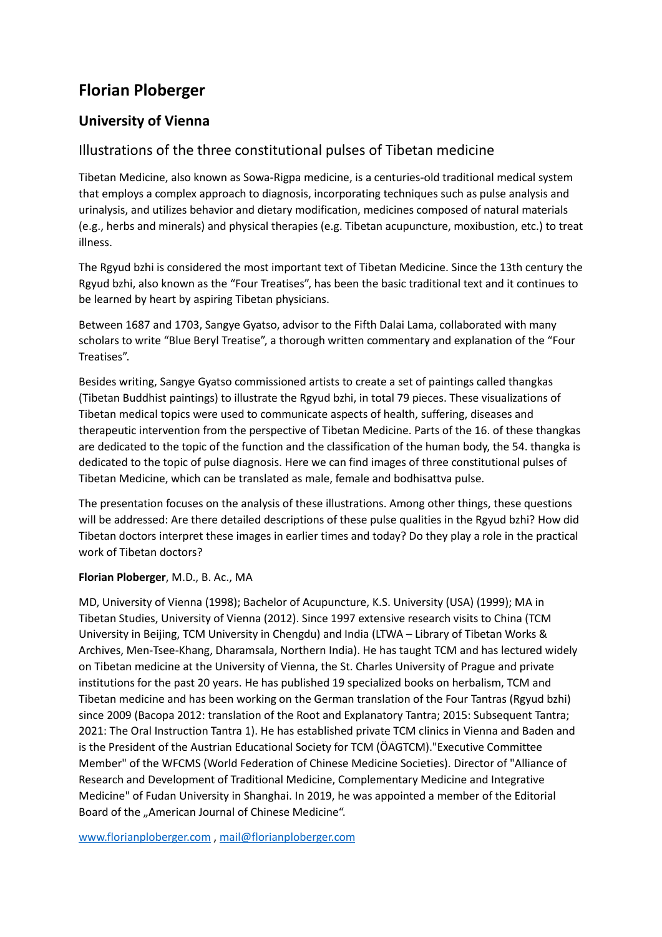## **Florian Ploberger**

### **University of Vienna**

### Illustrations of the three constitutional pulses of Tibetan medicine

Tibetan Medicine, also known as Sowa-Rigpa medicine, is a centuries-old traditional medical system that employs a complex approach to diagnosis, incorporating techniques such as pulse analysis and urinalysis, and utilizes behavior and dietary modification, medicines composed of natural materials (e.g., herbs and minerals) and physical therapies (e.g. Tibetan acupuncture, moxibustion, etc.) to treat illness.

The Rgyud bzhi is considered the most important text of Tibetan Medicine. Since the 13th century the Rgyud bzhi, also known as the "Four Treatises", has been the basic traditional text and it continues to be learned by heart by aspiring Tibetan physicians.

Between 1687 and 1703, Sangye Gyatso, advisor to the Fifth Dalai Lama, collaborated with many scholars to write "Blue Beryl Treatise", a thorough written commentary and explanation of the "Four Treatises".

Besides writing, Sangye Gyatso commissioned artists to create a set of paintings called thangkas (Tibetan Buddhist paintings) to illustrate the Rgyud bzhi, in total 79 pieces. These visualizations of Tibetan medical topics were used to communicate aspects of health, suffering, diseases and therapeutic intervention from the perspective of Tibetan Medicine. Parts of the 16. of these thangkas are dedicated to the topic of the function and the classification of the human body, the 54. thangka is dedicated to the topic of pulse diagnosis. Here we can find images of three constitutional pulses of Tibetan Medicine, which can be translated as male, female and bodhisattva pulse.

The presentation focuses on the analysis of these illustrations. Among other things, these questions will be addressed: Are there detailed descriptions of these pulse qualities in the Rgyud bzhi? How did Tibetan doctors interpret these images in earlier times and today? Do they play a role in the practical work of Tibetan doctors?

#### **Florian Ploberger**, M.D., B. Ac., MA

MD, University of Vienna (1998); Bachelor of Acupuncture, K.S. University (USA) (1999); MA in Tibetan Studies, University of Vienna (2012). Since 1997 extensive research visits to China (TCM University in Beijing, TCM University in Chengdu) and India (LTWA – Library of Tibetan Works & Archives, Men-Tsee-Khang, Dharamsala, Northern India). He has taught TCM and has lectured widely on Tibetan medicine at the University of Vienna, the St. Charles University of Prague and private institutions for the past 20 years. He has published 19 specialized books on herbalism, TCM and Tibetan medicine and has been working on the German translation of the Four Tantras (Rgyud bzhi) since 2009 (Bacopa 2012: translation of the Root and Explanatory Tantra; 2015: Subsequent Tantra; 2021: The Oral Instruction Tantra 1). He has established private TCM clinics in Vienna and Baden and is the President of the Austrian Educational Society for TCM (ÖAGTCM)."Executive Committee Member" of the WFCMS (World Federation of Chinese Medicine Societies). Director of "Alliance of Research and Development of Traditional Medicine, Complementary Medicine and Integrative Medicine" of Fudan University in Shanghai. In 2019, he was appointed a member of the Editorial Board of the "American Journal of Chinese Medicine".

[www.florianploberger.com](http://www.florianploberger.com/) , [mail@florianploberger.com](mailto:mail@florianploberger.com)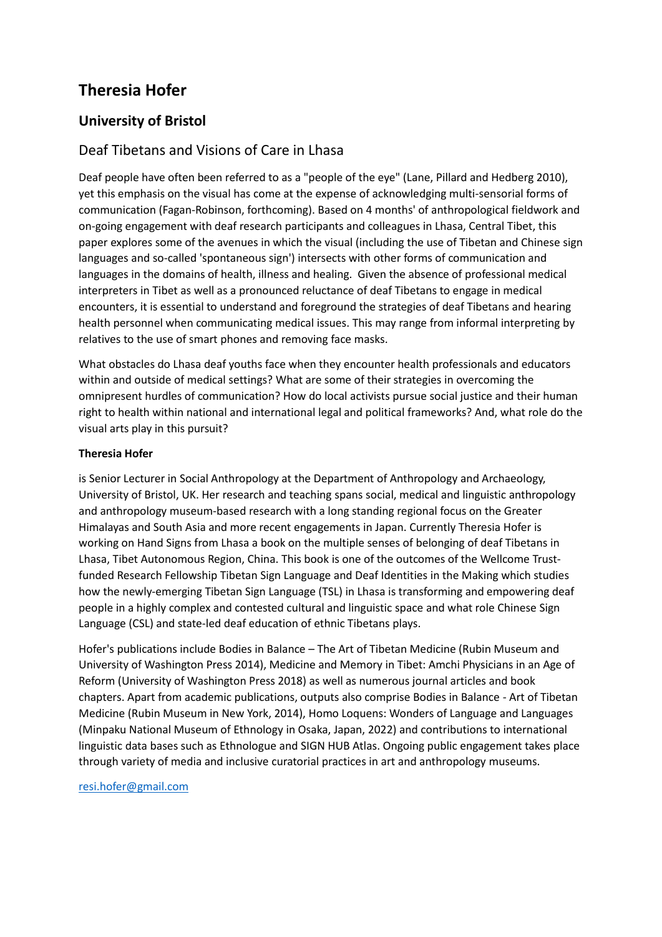## **Theresia Hofer**

### **University of Bristol**

### Deaf Tibetans and Visions of Care in Lhasa

Deaf people have often been referred to as a "people of the eye" (Lane, Pillard and Hedberg 2010), yet this emphasis on the visual has come at the expense of acknowledging multi-sensorial forms of communication (Fagan-Robinson, forthcoming). Based on 4 months' of anthropological fieldwork and on-going engagement with deaf research participants and colleagues in Lhasa, Central Tibet, this paper explores some of the avenues in which the visual (including the use of Tibetan and Chinese sign languages and so-called 'spontaneous sign') intersects with other forms of communication and languages in the domains of health, illness and healing. Given the absence of professional medical interpreters in Tibet as well as a pronounced reluctance of deaf Tibetans to engage in medical encounters, it is essential to understand and foreground the strategies of deaf Tibetans and hearing health personnel when communicating medical issues. This may range from informal interpreting by relatives to the use of smart phones and removing face masks.

What obstacles do Lhasa deaf youths face when they encounter health professionals and educators within and outside of medical settings? What are some of their strategies in overcoming the omnipresent hurdles of communication? How do local activists pursue social justice and their human right to health within national and international legal and political frameworks? And, what role do the visual arts play in this pursuit?

#### **Theresia Hofer**

is Senior Lecturer in Social Anthropology at the Department of Anthropology and Archaeology, University of Bristol, UK. Her research and teaching spans social, medical and linguistic anthropology and anthropology museum-based research with a long standing regional focus on the Greater Himalayas and South Asia and more recent engagements in Japan. Currently Theresia Hofer is working on Hand Signs from Lhasa a book on the multiple senses of belonging of deaf Tibetans in Lhasa, Tibet Autonomous Region, China. This book is one of the outcomes of the Wellcome Trustfunded Research Fellowship Tibetan Sign Language and Deaf Identities in the Making which studies how the newly-emerging Tibetan Sign Language (TSL) in Lhasa is transforming and empowering deaf people in a highly complex and contested cultural and linguistic space and what role Chinese Sign Language (CSL) and state-led deaf education of ethnic Tibetans plays.

Hofer's publications include Bodies in Balance – The Art of Tibetan Medicine (Rubin Museum and University of Washington Press 2014), Medicine and Memory in Tibet: Amchi Physicians in an Age of Reform (University of Washington Press 2018) as well as numerous journal articles and book chapters. Apart from academic publications, outputs also comprise Bodies in Balance - Art of Tibetan Medicine (Rubin Museum in New York, 2014), Homo Loquens: Wonders of Language and Languages (Minpaku National Museum of Ethnology in Osaka, Japan, 2022) and contributions to international linguistic data bases such as Ethnologue and SIGN HUB Atlas. Ongoing public engagement takes place through variety of media and inclusive curatorial practices in art and anthropology museums.

#### [resi.hofer@gmail.com](mailto:resi.hofer@gmail.com)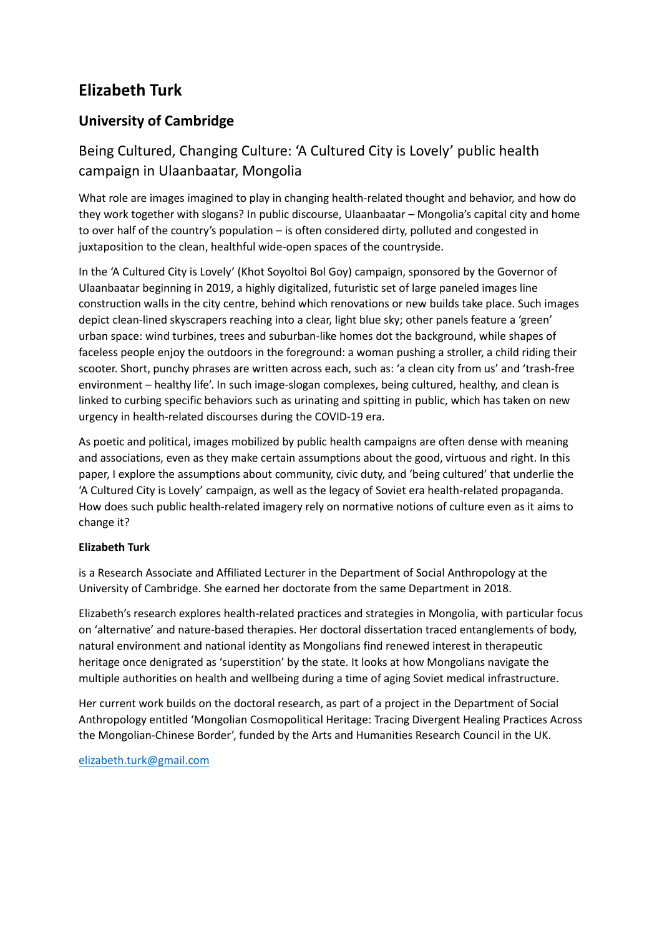## **Elizabeth Turk**

## **University of Cambridge**

## Being Cultured, Changing Culture: 'A Cultured City is Lovely' public health campaign in Ulaanbaatar, Mongolia

What role are images imagined to play in changing health-related thought and behavior, and how do they work together with slogans? In public discourse, Ulaanbaatar – Mongolia's capital city and home to over half of the country's population – is often considered dirty, polluted and congested in juxtaposition to the clean, healthful wide-open spaces of the countryside.

In the 'A Cultured City is Lovely' (Khot Soyoltoi Bol Goy) campaign, sponsored by the Governor of Ulaanbaatar beginning in 2019, a highly digitalized, futuristic set of large paneled images line construction walls in the city centre, behind which renovations or new builds take place. Such images depict clean-lined skyscrapers reaching into a clear, light blue sky; other panels feature a 'green' urban space: wind turbines, trees and suburban-like homes dot the background, while shapes of faceless people enjoy the outdoors in the foreground: a woman pushing a stroller, a child riding their scooter. Short, punchy phrases are written across each, such as: 'a clean city from us' and 'trash-free environment – healthy life'. In such image-slogan complexes, being cultured, healthy, and clean is linked to curbing specific behaviors such as urinating and spitting in public, which has taken on new urgency in health-related discourses during the COVID-19 era.

As poetic and political, images mobilized by public health campaigns are often dense with meaning and associations, even as they make certain assumptions about the good, virtuous and right. In this paper, I explore the assumptions about community, civic duty, and 'being cultured' that underlie the 'A Cultured City is Lovely' campaign, as well as the legacy of Soviet era health-related propaganda. How does such public health-related imagery rely on normative notions of culture even as it aims to change it?

#### **Elizabeth Turk**

is a Research Associate and Affiliated Lecturer in the Department of Social Anthropology at the University of Cambridge. She earned her doctorate from the same Department in 2018.

Elizabeth's research explores health-related practices and strategies in Mongolia, with particular focus on 'alternative' and nature-based therapies. Her doctoral dissertation traced entanglements of body, natural environment and national identity as Mongolians find renewed interest in therapeutic heritage once denigrated as 'superstition' by the state. It looks at how Mongolians navigate the multiple authorities on health and wellbeing during a time of aging Soviet medical infrastructure.

Her current work builds on the doctoral research, as part of a project in the Department of Social Anthropology entitled 'Mongolian Cosmopolitical Heritage: Tracing Divergent Healing Practices Across the Mongolian-Chinese Border', funded by the Arts and Humanities Research Council in the UK.

#### [elizabeth.turk@gmail.com](mailto:elizabeth.turk@gmail.com)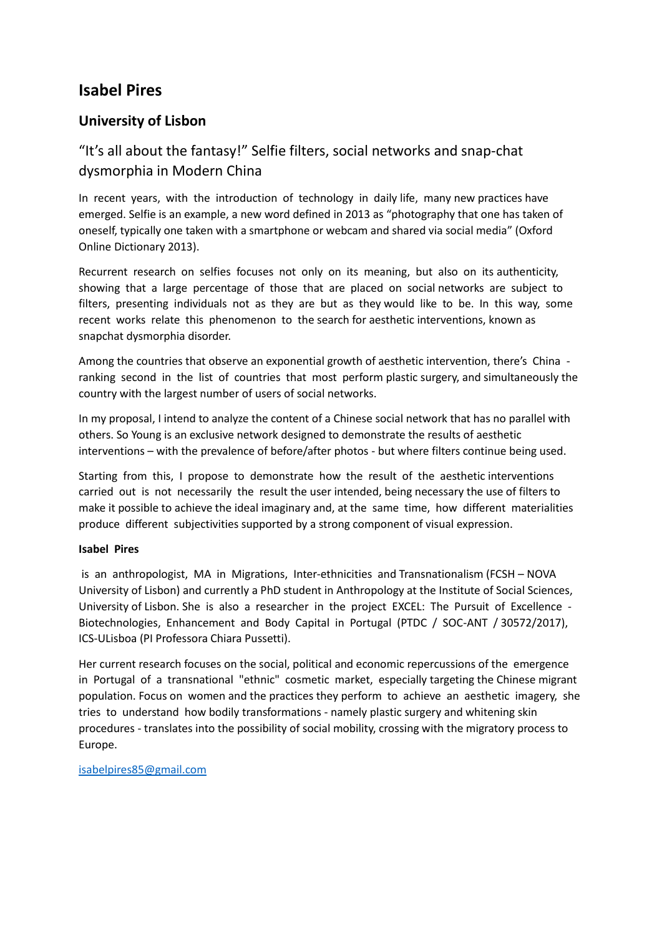## **Isabel Pires**

### **University of Lisbon**

## "It's all about the fantasy!" Selfie filters, social networks and snap-chat dysmorphia in Modern China

In recent years, with the introduction of technology in daily life, many new practices have emerged. Selfie is an example, a new word defined in 2013 as "photography that one has taken of oneself, typically one taken with a smartphone or webcam and shared via social media" (Oxford Online Dictionary 2013).

Recurrent research on selfies focuses not only on its meaning, but also on its authenticity, showing that a large percentage of those that are placed on social networks are subject to filters, presenting individuals not as they are but as they would like to be. In this way, some recent works relate this phenomenon to the search for aesthetic interventions, known as snapchat dysmorphia disorder.

Among the countries that observe an exponential growth of aesthetic intervention, there's China ranking second in the list of countries that most perform plastic surgery, and simultaneously the country with the largest number of users of social networks.

In my proposal, I intend to analyze the content of a Chinese social network that has no parallel with others. So Young is an exclusive network designed to demonstrate the results of aesthetic interventions – with the prevalence of before/after photos - but where filters continue being used.

Starting from this, I propose to demonstrate how the result of the aesthetic interventions carried out is not necessarily the result the user intended, being necessary the use of filters to make it possible to achieve the ideal imaginary and, at the same time, how different materialities produce different subjectivities supported by a strong component of visual expression.

#### **Isabel Pires**

is an anthropologist, MA in Migrations, Inter-ethnicities and Transnationalism (FCSH – NOVA University of Lisbon) and currently a PhD student in Anthropology at the Institute of Social Sciences, University of Lisbon. She is also a researcher in the project EXCEL: The Pursuit of Excellence - Biotechnologies, Enhancement and Body Capital in Portugal (PTDC / SOC-ANT / 30572/2017), ICS-ULisboa (PI Professora Chiara Pussetti).

Her current research focuses on the social, political and economic repercussions of the emergence in Portugal of a transnational "ethnic" cosmetic market, especially targeting the Chinese migrant population. Focus on women and the practices they perform to achieve an aesthetic imagery, she tries to understand how bodily transformations - namely plastic surgery and whitening skin procedures - translates into the possibility of social mobility, crossing with the migratory process to Europe.

[isabelpires85@gmail.com](mailto:isabelpires85@gmail.com)